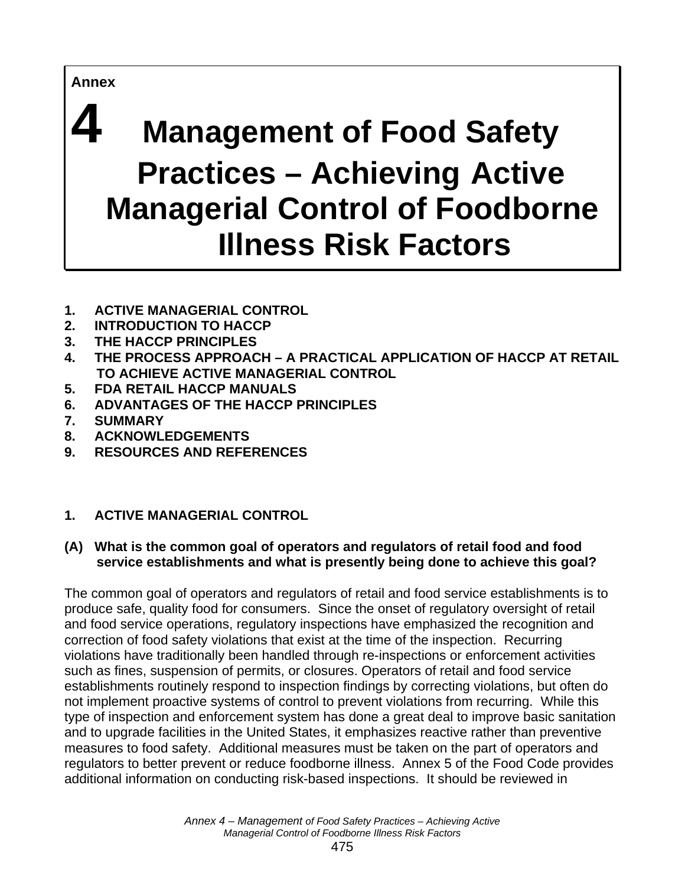## **Annex**

# **4 Management of Food Safety Practices – Achieving Active Managerial Control of Foodborne Illness Risk Factors**

## **1. ACTIVE MANAGERIAL CONTROL**

- **2. INTRODUCTION TO HACCP**
- **3. THE HACCP PRINCIPLES**
- **4. THE PROCESS APPROACH A PRACTICAL APPLICATION OF HACCP AT RETAIL TO ACHIEVE ACTIVE MANAGERIAL CONTROL**
- **5. FDA RETAIL HACCP MANUALS**
- **6. ADVANTAGES OF THE HACCP PRINCIPLES**
- **7. SUMMARY**
- **8. ACKNOWLEDGEMENTS**
- **9. RESOURCES AND REFERENCES**

# **1. ACTIVE MANAGERIAL CONTROL**

#### **(A) What is the common goal of operators and regulators of retail food and food service establishments and what is presently being done to achieve this goal?**

The common goal of operators and regulators of retail and food service establishments is to produce safe, quality food for consumers. Since the onset of regulatory oversight of retail and food service operations, regulatory inspections have emphasized the recognition and correction of food safety violations that exist at the time of the inspection. Recurring violations have traditionally been handled through re-inspections or enforcement activities such as fines, suspension of permits, or closures. Operators of retail and food service establishments routinely respond to inspection findings by correcting violations, but often do not implement proactive systems of control to prevent violations from recurring. While this type of inspection and enforcement system has done a great deal to improve basic sanitation and to upgrade facilities in the United States, it emphasizes reactive rather than preventive measures to food safety. Additional measures must be taken on the part of operators and regulators to better prevent or reduce foodborne illness. Annex 5 of the Food Code provides additional information on conducting risk-based inspections. It should be reviewed in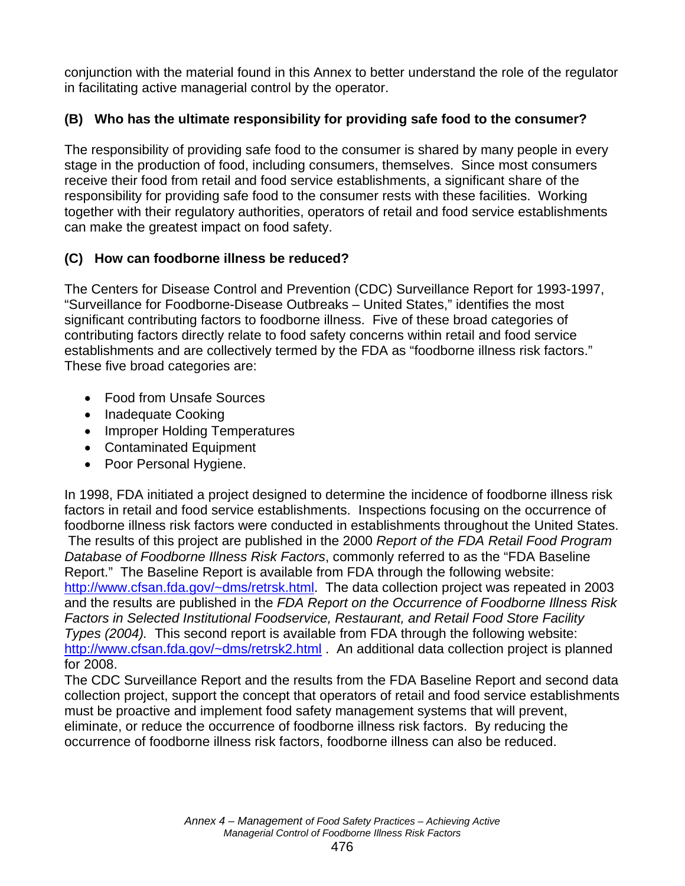conjunction with the material found in this Annex to better understand the role of the regulator in facilitating active managerial control by the operator.

## **(B) Who has the ultimate responsibility for providing safe food to the consumer?**

The responsibility of providing safe food to the consumer is shared by many people in every stage in the production of food, including consumers, themselves. Since most consumers receive their food from retail and food service establishments, a significant share of the responsibility for providing safe food to the consumer rests with these facilities. Working together with their regulatory authorities, operators of retail and food service establishments can make the greatest impact on food safety.

## **(C) How can foodborne illness be reduced?**

The Centers for Disease Control and Prevention (CDC) Surveillance Report for 1993-1997, "Surveillance for Foodborne-Disease Outbreaks – United States," identifies the most significant contributing factors to foodborne illness. Five of these broad categories of contributing factors directly relate to food safety concerns within retail and food service establishments and are collectively termed by the FDA as "foodborne illness risk factors." These five broad categories are:

- Food from Unsafe Sources
- Inadequate Cooking
- Improper Holding Temperatures
- Contaminated Equipment
- Poor Personal Hygiene.

In 1998, FDA initiated a project designed to determine the incidence of foodborne illness risk factors in retail and food service establishments. Inspections focusing on the occurrence of foodborne illness risk factors were conducted in establishments throughout the United States. The results of this project are published in the 2000 *Report of the FDA Retail Food Program Database of Foodborne Illness Risk Factors*, commonly referred to as the "FDA Baseline Report." The Baseline Report is available from FDA through the following website: http://www.cfsan.fda.gov/~dms/retrsk.html. The data collection project was repeated in 2003 and the results are published in the *FDA Report on the Occurrence of Foodborne Illness Risk Factors in Selected Institutional Foodservice, Restaurant, and Retail Food Store Facility Types (2004).* This second report is available from FDA through the following website: http://www.cfsan.fda.gov/~dms/retrsk2.html . An additional data collection project is planned for 2008.

The CDC Surveillance Report and the results from the FDA Baseline Report and second data collection project, support the concept that operators of retail and food service establishments must be proactive and implement food safety management systems that will prevent, eliminate, or reduce the occurrence of foodborne illness risk factors. By reducing the occurrence of foodborne illness risk factors, foodborne illness can also be reduced.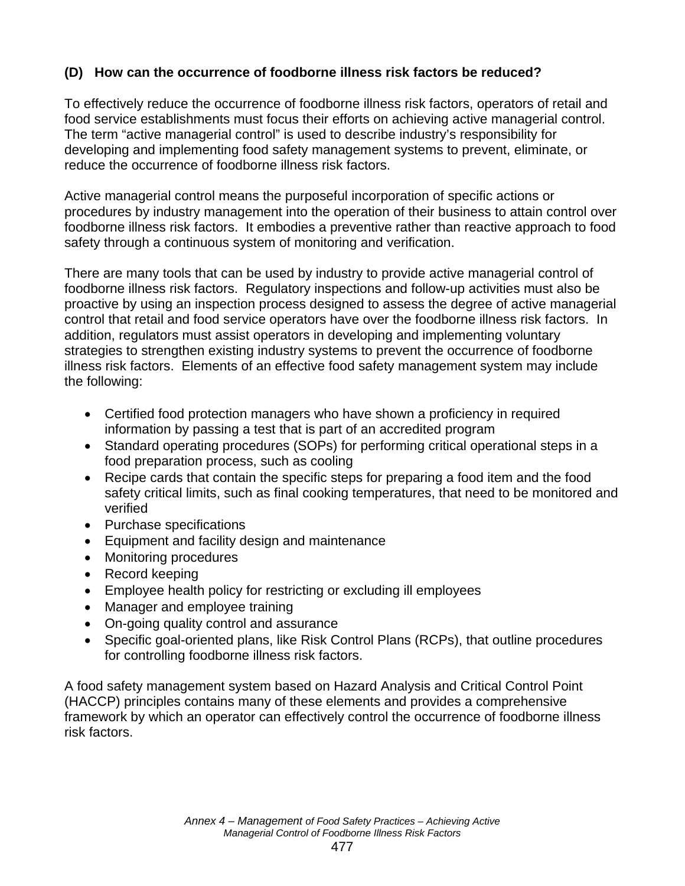## **(D) How can the occurrence of foodborne illness risk factors be reduced?**

To effectively reduce the occurrence of foodborne illness risk factors, operators of retail and food service establishments must focus their efforts on achieving active managerial control. The term "active managerial control" is used to describe industry's responsibility for developing and implementing food safety management systems to prevent, eliminate, or reduce the occurrence of foodborne illness risk factors.

Active managerial control means the purposeful incorporation of specific actions or procedures by industry management into the operation of their business to attain control over foodborne illness risk factors. It embodies a preventive rather than reactive approach to food safety through a continuous system of monitoring and verification.

There are many tools that can be used by industry to provide active managerial control of foodborne illness risk factors.Regulatory inspections and follow-up activities must also be proactive by using an inspection process designed to assess the degree of active managerial control that retail and food service operators have over the foodborne illness risk factors. In addition, regulators must assist operators in developing and implementing voluntary strategies to strengthen existing industry systems to prevent the occurrence of foodborne illness risk factors. Elements of an effective food safety management system may include the following:

- Certified food protection managers who have shown a proficiency in required information by passing a test that is part of an accredited program
- Standard operating procedures (SOPs) for performing critical operational steps in a food preparation process, such as cooling
- Recipe cards that contain the specific steps for preparing a food item and the food safety critical limits, such as final cooking temperatures, that need to be monitored and verified
- Purchase specifications
- Equipment and facility design and maintenance
- Monitoring procedures
- Record keeping
- Employee health policy for restricting or excluding ill employees
- Manager and employee training
- On-going quality control and assurance
- Specific goal-oriented plans, like Risk Control Plans (RCPs), that outline procedures for controlling foodborne illness risk factors.

A food safety management system based on Hazard Analysis and Critical Control Point (HACCP) principles contains many of these elements and provides a comprehensive framework by which an operator can effectively control the occurrence of foodborne illness risk factors.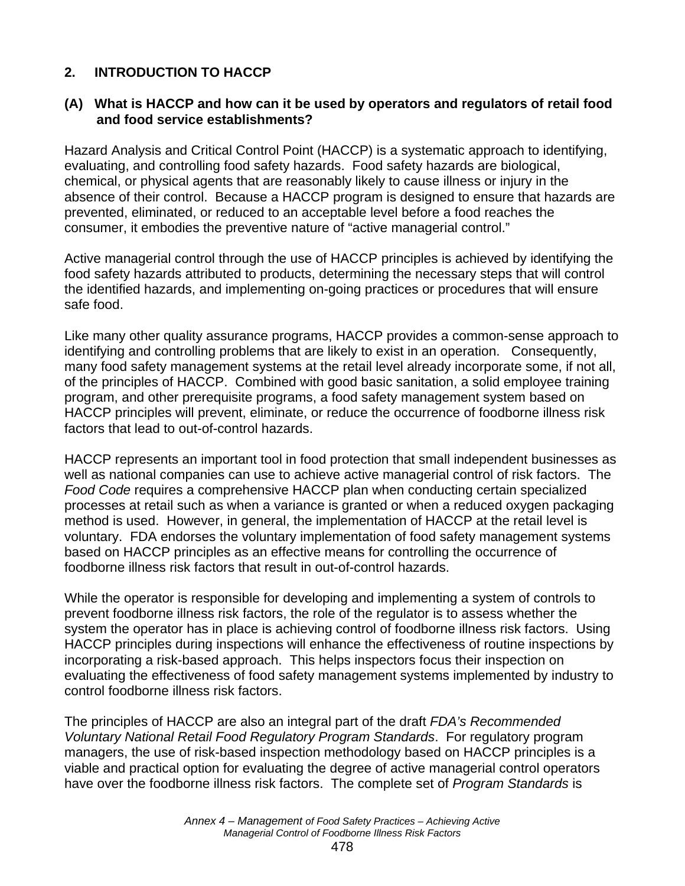#### **2. INTRODUCTION TO HACCP**

#### **(A) What is HACCP and how can it be used by operators and regulators of retail food and food service establishments?**

Hazard Analysis and Critical Control Point (HACCP) is a systematic approach to identifying, evaluating, and controlling food safety hazards. Food safety hazards are biological, chemical, or physical agents that are reasonably likely to cause illness or injury in the absence of their control. Because a HACCP program is designed to ensure that hazards are prevented, eliminated, or reduced to an acceptable level before a food reaches the consumer, it embodies the preventive nature of "active managerial control."

Active managerial control through the use of HACCP principles is achieved by identifying the food safety hazards attributed to products, determining the necessary steps that will control the identified hazards, and implementing on-going practices or procedures that will ensure safe food.

Like many other quality assurance programs, HACCP provides a common-sense approach to identifying and controlling problems that are likely to exist in an operation. Consequently, many food safety management systems at the retail level already incorporate some, if not all, of the principles of HACCP. Combined with good basic sanitation, a solid employee training program, and other prerequisite programs, a food safety management system based on HACCP principles will prevent, eliminate, or reduce the occurrence of foodborne illness risk factors that lead to out-of-control hazards.

HACCP represents an important tool in food protection that small independent businesses as well as national companies can use to achieve active managerial control of risk factors. The *Food Code* requires a comprehensive HACCP plan when conducting certain specialized processes at retail such as when a variance is granted or when a reduced oxygen packaging method is used. However, in general, the implementation of HACCP at the retail level is voluntary. FDA endorses the voluntary implementation of food safety management systems based on HACCP principles as an effective means for controlling the occurrence of foodborne illness risk factors that result in out-of-control hazards.

While the operator is responsible for developing and implementing a system of controls to prevent foodborne illness risk factors, the role of the regulator is to assess whether the system the operator has in place is achieving control of foodborne illness risk factors. Using HACCP principles during inspections will enhance the effectiveness of routine inspections by incorporating a risk-based approach. This helps inspectors focus their inspection on evaluating the effectiveness of food safety management systems implemented by industry to control foodborne illness risk factors.

The principles of HACCP are also an integral part of the draft *FDA's Recommended Voluntary National Retail Food Regulatory Program Standards*. For regulatory program managers, the use of risk-based inspection methodology based on HACCP principles is a viable and practical option for evaluating the degree of active managerial control operators have over the foodborne illness risk factors. The complete set of *Program Standards* is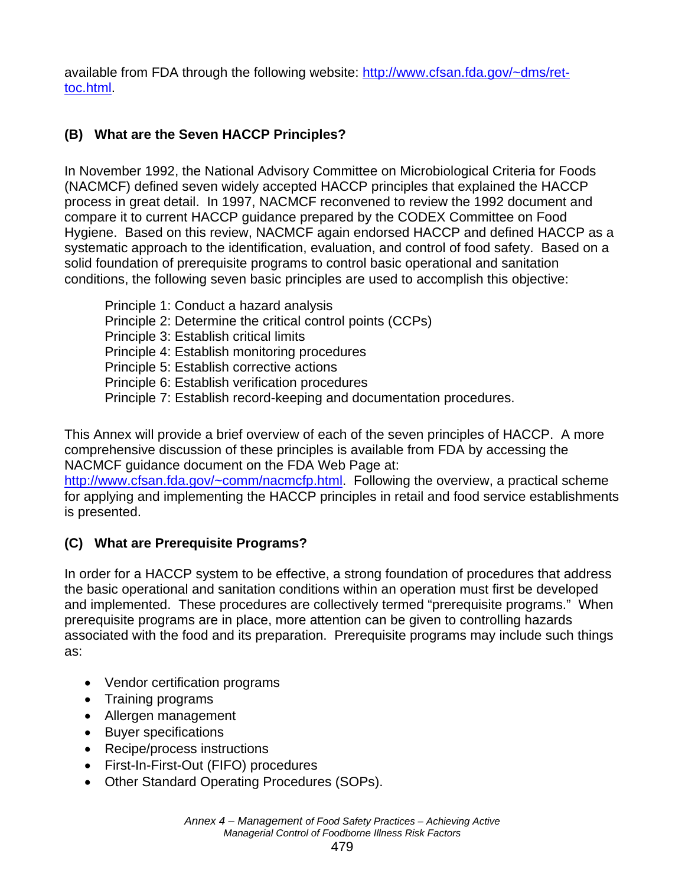available from FDA through the following website: http://www.cfsan.fda.gov/~dms/rettoc.html.

## **(B) What are the Seven HACCP Principles?**

In November 1992, the National Advisory Committee on Microbiological Criteria for Foods (NACMCF) defined seven widely accepted HACCP principles that explained the HACCP process in great detail. In 1997, NACMCF reconvened to review the 1992 document and compare it to current HACCP guidance prepared by the CODEX Committee on Food Hygiene. Based on this review, NACMCF again endorsed HACCP and defined HACCP as a systematic approach to the identification, evaluation, and control of food safety. Based on a solid foundation of prerequisite programs to control basic operational and sanitation conditions, the following seven basic principles are used to accomplish this objective:

Principle 1: Conduct a hazard analysis Principle 2: Determine the critical control points (CCPs) Principle 3: Establish critical limits Principle 4: Establish monitoring procedures Principle 5: Establish corrective actions Principle 6: Establish verification procedures Principle 7: Establish record-keeping and documentation procedures.

This Annex will provide a brief overview of each of the seven principles of HACCP. A more comprehensive discussion of these principles is available from FDA by accessing the NACMCF guidance document on the FDA Web Page at:

http://www.cfsan.fda.gov/~comm/nacmcfp.html. Following the overview, a practical scheme for applying and implementing the HACCP principles in retail and food service establishments is presented.

## **(C) What are Prerequisite Programs?**

In order for a HACCP system to be effective, a strong foundation of procedures that address the basic operational and sanitation conditions within an operation must first be developed and implemented. These procedures are collectively termed "prerequisite programs." When prerequisite programs are in place, more attention can be given to controlling hazards associated with the food and its preparation. Prerequisite programs may include such things as:

- Vendor certification programs
- Training programs
- Allergen management
- Buyer specifications
- Recipe/process instructions
- First-In-First-Out (FIFO) procedures
- Other Standard Operating Procedures (SOPs).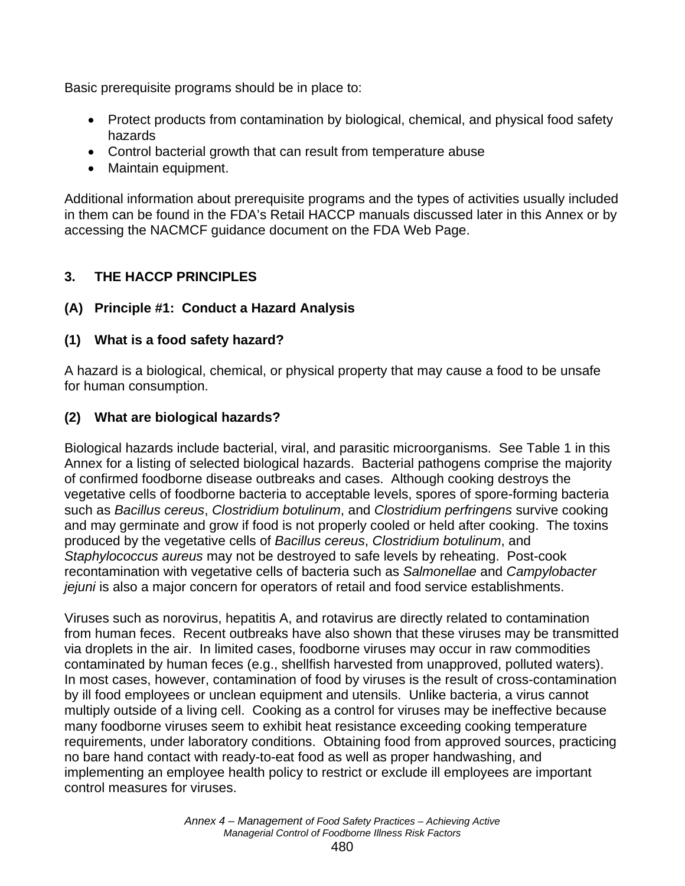Basic prerequisite programs should be in place to:

- Protect products from contamination by biological, chemical, and physical food safety hazards
- Control bacterial growth that can result from temperature abuse
- Maintain equipment.

Additional information about prerequisite programs and the types of activities usually included in them can be found in the FDA's Retail HACCP manuals discussed later in this Annex or by accessing the NACMCF guidance document on the FDA Web Page.

## **3. THE HACCP PRINCIPLES**

## **(A) Principle #1: Conduct a Hazard Analysis**

#### **(1) What is a food safety hazard?**

A hazard is a biological, chemical, or physical property that may cause a food to be unsafe for human consumption.

## **(2) What are biological hazards?**

Biological hazards include bacterial, viral, and parasitic microorganisms. See Table 1 in this Annex for a listing of selected biological hazards. Bacterial pathogens comprise the majority of confirmed foodborne disease outbreaks and cases. Although cooking destroys the vegetative cells of foodborne bacteria to acceptable levels, spores of spore-forming bacteria such as *Bacillus cereus*, *Clostridium botulinum*, and *Clostridium perfringens* survive cooking and may germinate and grow if food is not properly cooled or held after cooking. The toxins produced by the vegetative cells of *Bacillus cereus*, *Clostridium botulinum*, and *Staphylococcus aureus* may not be destroyed to safe levels by reheating. Post-cook recontamination with vegetative cells of bacteria such as *Salmonellae* and *Campylobacter jejuni* is also a major concern for operators of retail and food service establishments.

Viruses such as norovirus, hepatitis A, and rotavirus are directly related to contamination from human feces. Recent outbreaks have also shown that these viruses may be transmitted via droplets in the air. In limited cases, foodborne viruses may occur in raw commodities contaminated by human feces (e.g., shellfish harvested from unapproved, polluted waters). In most cases, however, contamination of food by viruses is the result of cross-contamination by ill food employees or unclean equipment and utensils. Unlike bacteria, a virus cannot multiply outside of a living cell. Cooking as a control for viruses may be ineffective because many foodborne viruses seem to exhibit heat resistance exceeding cooking temperature requirements, under laboratory conditions. Obtaining food from approved sources, practicing no bare hand contact with ready-to-eat food as well as proper handwashing, and implementing an employee health policy to restrict or exclude ill employees are important control measures for viruses.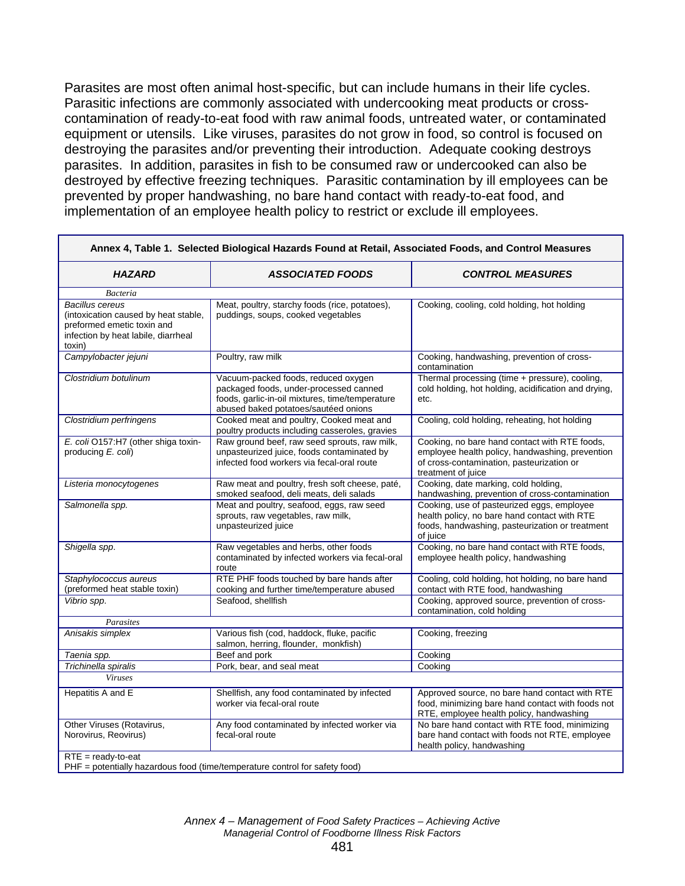Parasites are most often animal host-specific, but can include humans in their life cycles. Parasitic infections are commonly associated with undercooking meat products or crosscontamination of ready-to-eat food with raw animal foods, untreated water, or contaminated equipment or utensils. Like viruses, parasites do not grow in food, so control is focused on destroying the parasites and/or preventing their introduction. Adequate cooking destroys parasites. In addition, parasites in fish to be consumed raw or undercooked can also be destroyed by effective freezing techniques. Parasitic contamination by ill employees can be prevented by proper handwashing, no bare hand contact with ready-to-eat food, and implementation of an employee health policy to restrict or exclude ill employees.

| <b>HAZARD</b>                                                                                                                                 | <b>ASSOCIATED FOODS</b>                                                                                                                                                  | <b>CONTROL MEASURES</b>                                                                                                                                             |
|-----------------------------------------------------------------------------------------------------------------------------------------------|--------------------------------------------------------------------------------------------------------------------------------------------------------------------------|---------------------------------------------------------------------------------------------------------------------------------------------------------------------|
| <b>Bacteria</b>                                                                                                                               |                                                                                                                                                                          |                                                                                                                                                                     |
| <b>Bacillus cereus</b><br>(intoxication caused by heat stable,<br>preformed emetic toxin and<br>infection by heat labile, diarrheal<br>toxin) | Meat, poultry, starchy foods (rice, potatoes),<br>puddings, soups, cooked vegetables                                                                                     | Cooking, cooling, cold holding, hot holding                                                                                                                         |
| Campylobacter jejuni                                                                                                                          | Poultry, raw milk                                                                                                                                                        | Cooking, handwashing, prevention of cross-<br>contamination                                                                                                         |
| Clostridium botulinum                                                                                                                         | Vacuum-packed foods, reduced oxygen<br>packaged foods, under-processed canned<br>foods, garlic-in-oil mixtures, time/temperature<br>abused baked potatoes/sautéed onions | Thermal processing (time + pressure), cooling,<br>cold holding, hot holding, acidification and drying,<br>etc.                                                      |
| Clostridium perfringens                                                                                                                       | Cooked meat and poultry, Cooked meat and<br>poultry products including casseroles, gravies                                                                               | Cooling, cold holding, reheating, hot holding                                                                                                                       |
| E. coli O157:H7 (other shiga toxin-<br>producing E. coli)                                                                                     | Raw ground beef, raw seed sprouts, raw milk,<br>unpasteurized juice, foods contaminated by<br>infected food workers via fecal-oral route                                 | Cooking, no bare hand contact with RTE foods,<br>employee health policy, handwashing, prevention<br>of cross-contamination, pasteurization or<br>treatment of juice |
| Listeria monocytogenes                                                                                                                        | Raw meat and poultry, fresh soft cheese, paté,<br>smoked seafood, deli meats, deli salads                                                                                | Cooking, date marking, cold holding,<br>handwashing, prevention of cross-contamination                                                                              |
| Salmonella spp.                                                                                                                               | Meat and poultry, seafood, eggs, raw seed<br>sprouts, raw vegetables, raw milk,<br>unpasteurized juice                                                                   | Cooking, use of pasteurized eggs, employee<br>health policy, no bare hand contact with RTE<br>foods, handwashing, pasteurization or treatment<br>of juice           |
| Shigella spp.                                                                                                                                 | Raw vegetables and herbs, other foods<br>contaminated by infected workers via fecal-oral<br>route                                                                        | Cooking, no bare hand contact with RTE foods,<br>employee health policy, handwashing                                                                                |
| Staphylococcus aureus<br>(preformed heat stable toxin)                                                                                        | RTE PHF foods touched by bare hands after<br>cooking and further time/temperature abused                                                                                 | Cooling, cold holding, hot holding, no bare hand<br>contact with RTE food, handwashing                                                                              |
| Vibrio spp.                                                                                                                                   | Seafood, shellfish                                                                                                                                                       | Cooking, approved source, prevention of cross-<br>contamination, cold holding                                                                                       |
| Parasites                                                                                                                                     |                                                                                                                                                                          |                                                                                                                                                                     |
| Anisakis simplex                                                                                                                              | Various fish (cod, haddock, fluke, pacific<br>salmon, herring, flounder, monkfish)                                                                                       | Cooking, freezing                                                                                                                                                   |
| Taenia spp.                                                                                                                                   | Beef and pork                                                                                                                                                            | Cooking                                                                                                                                                             |
| Trichinella spiralis                                                                                                                          | Pork, bear, and seal meat                                                                                                                                                | Cooking                                                                                                                                                             |
| <b>Viruses</b>                                                                                                                                |                                                                                                                                                                          |                                                                                                                                                                     |
| Hepatitis A and E                                                                                                                             | Shellfish, any food contaminated by infected<br>worker via fecal-oral route                                                                                              | Approved source, no bare hand contact with RTE<br>food, minimizing bare hand contact with foods not<br>RTE, employee health policy, handwashing                     |
| Other Viruses (Rotavirus,<br>Norovirus, Reovirus)                                                                                             | Any food contaminated by infected worker via<br>fecal-oral route                                                                                                         | No bare hand contact with RTE food, minimizing<br>bare hand contact with foods not RTE, employee<br>health policy, handwashing                                      |
| $RTE = ready-to-eat$                                                                                                                          |                                                                                                                                                                          |                                                                                                                                                                     |
|                                                                                                                                               | PHF = potentially hazardous food (time/temperature control for safety food)                                                                                              |                                                                                                                                                                     |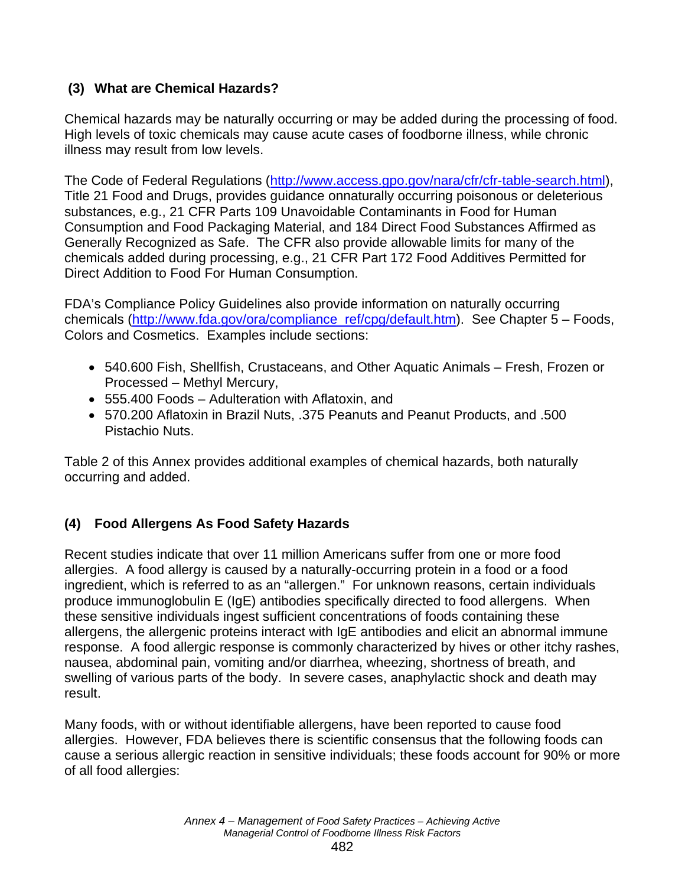## **(3) What are Chemical Hazards?**

Chemical hazards may be naturally occurring or may be added during the processing of food. High levels of toxic chemicals may cause acute cases of foodborne illness, while chronic illness may result from low levels.

The Code of Federal Regulations (http://www.access.gpo.gov/nara/cfr/cfr-table-search.html), Title 21 Food and Drugs, provides guidance onnaturally occurring poisonous or deleterious substances, e.g., 21 CFR Parts 109 Unavoidable Contaminants in Food for Human Consumption and Food Packaging Material, and 184 Direct Food Substances Affirmed as Generally Recognized as Safe. The CFR also provide allowable limits for many of the chemicals added during processing, e.g., 21 CFR Part 172 Food Additives Permitted for Direct Addition to Food For Human Consumption.

FDA's Compliance Policy Guidelines also provide information on naturally occurring chemicals (http://www.fda.gov/ora/compliance\_ref/cpg/default.htm). See Chapter 5 – Foods, Colors and Cosmetics. Examples include sections:

- 540.600 Fish, Shellfish, Crustaceans, and Other Aquatic Animals Fresh, Frozen or Processed – Methyl Mercury,
- 555.400 Foods Adulteration with Aflatoxin, and
- 570.200 Aflatoxin in Brazil Nuts, .375 Peanuts and Peanut Products, and .500 Pistachio Nuts.

Table 2 of this Annex provides additional examples of chemical hazards, both naturally occurring and added.

## **(4) Food Allergens As Food Safety Hazards**

Recent studies indicate that over 11 million Americans suffer from one or more food allergies. A food allergy is caused by a naturally-occurring protein in a food or a food ingredient, which is referred to as an "allergen." For unknown reasons, certain individuals produce immunoglobulin E (IgE) antibodies specifically directed to food allergens. When these sensitive individuals ingest sufficient concentrations of foods containing these allergens, the allergenic proteins interact with IgE antibodies and elicit an abnormal immune response. A food allergic response is commonly characterized by hives or other itchy rashes, nausea, abdominal pain, vomiting and/or diarrhea, wheezing, shortness of breath, and swelling of various parts of the body. In severe cases, anaphylactic shock and death may result.

Many foods, with or without identifiable allergens, have been reported to cause food allergies. However, FDA believes there is scientific consensus that the following foods can cause a serious allergic reaction in sensitive individuals; these foods account for 90% or more of all food allergies: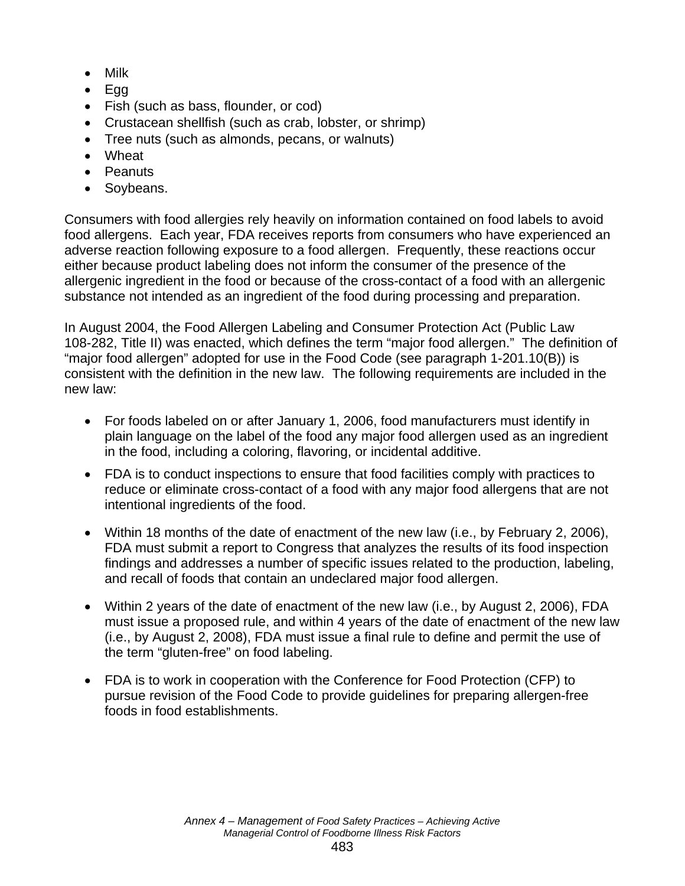- Milk
- Egg
- Fish (such as bass, flounder, or cod)
- Crustacean shellfish (such as crab, lobster, or shrimp)
- Tree nuts (such as almonds, pecans, or walnuts)
- Wheat
- Peanuts
- Soybeans.

Consumers with food allergies rely heavily on information contained on food labels to avoid food allergens. Each year, FDA receives reports from consumers who have experienced an adverse reaction following exposure to a food allergen. Frequently, these reactions occur either because product labeling does not inform the consumer of the presence of the allergenic ingredient in the food or because of the cross-contact of a food with an allergenic substance not intended as an ingredient of the food during processing and preparation.

In August 2004, the Food Allergen Labeling and Consumer Protection Act (Public Law 108-282, Title II) was enacted, which defines the term "major food allergen." The definition of "major food allergen" adopted for use in the Food Code (see paragraph 1-201.10(B)) is consistent with the definition in the new law. The following requirements are included in the new law:

- For foods labeled on or after January 1, 2006, food manufacturers must identify in plain language on the label of the food any major food allergen used as an ingredient in the food, including a coloring, flavoring, or incidental additive.
- FDA is to conduct inspections to ensure that food facilities comply with practices to reduce or eliminate cross-contact of a food with any major food allergens that are not intentional ingredients of the food.
- Within 18 months of the date of enactment of the new law (i.e., by February 2, 2006), FDA must submit a report to Congress that analyzes the results of its food inspection findings and addresses a number of specific issues related to the production, labeling, and recall of foods that contain an undeclared major food allergen.
- Within 2 years of the date of enactment of the new law (i.e., by August 2, 2006), FDA must issue a proposed rule, and within 4 years of the date of enactment of the new law (i.e., by August 2, 2008), FDA must issue a final rule to define and permit the use of the term "gluten-free" on food labeling.
- FDA is to work in cooperation with the Conference for Food Protection (CFP) to pursue revision of the Food Code to provide guidelines for preparing allergen-free foods in food establishments.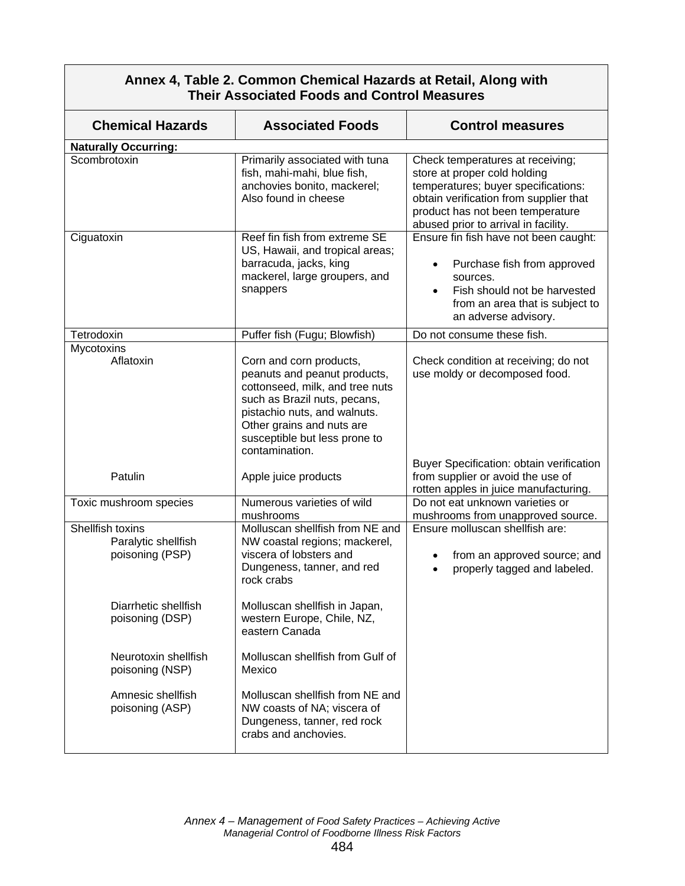#### **Annex 4, Table 2. Common Chemical Hazards at Retail, Along with Their Associated Foods and Control Measures**

| <b>Chemical Hazards</b>                                    | <b>Associated Foods</b>                                                                                                                                                                                                                    | <b>Control measures</b>                                                                                                                                                                                                       |
|------------------------------------------------------------|--------------------------------------------------------------------------------------------------------------------------------------------------------------------------------------------------------------------------------------------|-------------------------------------------------------------------------------------------------------------------------------------------------------------------------------------------------------------------------------|
| <b>Naturally Occurring:</b>                                |                                                                                                                                                                                                                                            |                                                                                                                                                                                                                               |
| Scombrotoxin                                               | Primarily associated with tuna<br>fish, mahi-mahi, blue fish,<br>anchovies bonito, mackerel;<br>Also found in cheese                                                                                                                       | Check temperatures at receiving;<br>store at proper cold holding<br>temperatures; buyer specifications:<br>obtain verification from supplier that<br>product has not been temperature<br>abused prior to arrival in facility. |
| Ciguatoxin                                                 | Reef fin fish from extreme SE<br>US, Hawaii, and tropical areas;<br>barracuda, jacks, king<br>mackerel, large groupers, and<br>snappers                                                                                                    | Ensure fin fish have not been caught:<br>Purchase fish from approved<br>$\bullet$<br>sources.<br>Fish should not be harvested<br>$\bullet$<br>from an area that is subject to<br>an adverse advisory.                         |
| Tetrodoxin                                                 | Puffer fish (Fugu; Blowfish)                                                                                                                                                                                                               | Do not consume these fish.                                                                                                                                                                                                    |
| Mycotoxins<br>Aflatoxin                                    | Corn and corn products,<br>peanuts and peanut products,<br>cottonseed, milk, and tree nuts<br>such as Brazil nuts, pecans,<br>pistachio nuts, and walnuts.<br>Other grains and nuts are<br>susceptible but less prone to<br>contamination. | Check condition at receiving; do not<br>use moldy or decomposed food.                                                                                                                                                         |
| Patulin                                                    | Apple juice products                                                                                                                                                                                                                       | Buyer Specification: obtain verification<br>from supplier or avoid the use of<br>rotten apples in juice manufacturing.                                                                                                        |
| Toxic mushroom species                                     | Numerous varieties of wild<br>mushrooms                                                                                                                                                                                                    | Do not eat unknown varieties or<br>mushrooms from unapproved source.                                                                                                                                                          |
| Shellfish toxins<br>Paralytic shellfish<br>poisoning (PSP) | Molluscan shellfish from NE and<br>NW coastal regions; mackerel,<br>viscera of lobsters and<br>Dungeness, tanner, and red<br>rock crabs                                                                                                    | Ensure molluscan shellfish are:<br>from an approved source; and<br>properly tagged and labeled.                                                                                                                               |
| Diarrhetic shellfish<br>poisoning (DSP)                    | Molluscan shellfish in Japan.<br>western Europe, Chile, NZ,<br>eastern Canada                                                                                                                                                              |                                                                                                                                                                                                                               |
| Neurotoxin shellfish<br>poisoning (NSP)                    | Molluscan shellfish from Gulf of<br>Mexico                                                                                                                                                                                                 |                                                                                                                                                                                                                               |
| Amnesic shellfish<br>poisoning (ASP)                       | Molluscan shellfish from NE and<br>NW coasts of NA; viscera of<br>Dungeness, tanner, red rock<br>crabs and anchovies.                                                                                                                      |                                                                                                                                                                                                                               |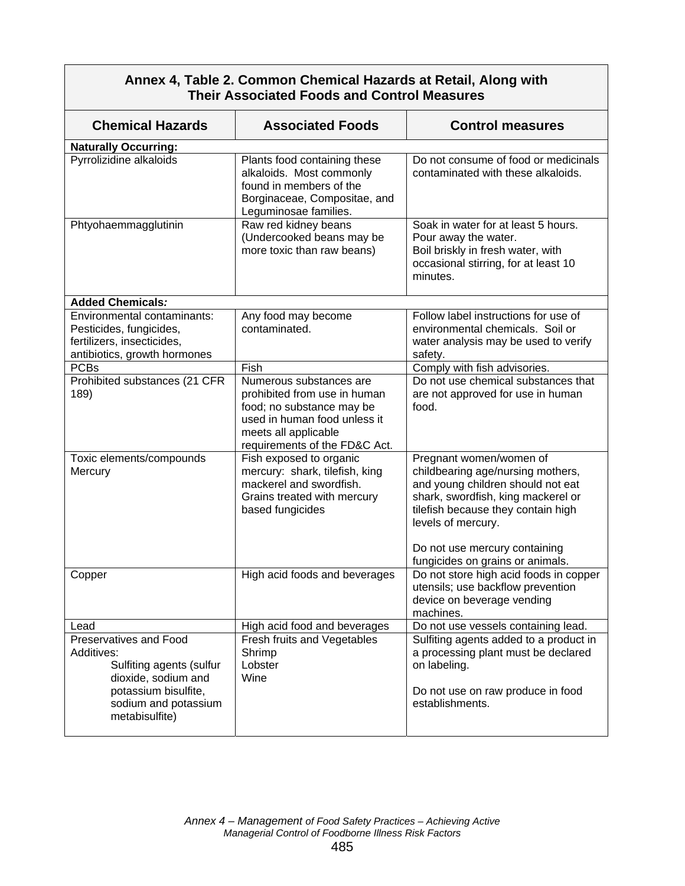| Annex 4, Table 2. Common Chemical Hazards at Retail, Along with<br><b>Their Associated Foods and Control Measures</b>                                     |                                                                                                                                                                               |                                                                                                                                                                                                                                                                          |
|-----------------------------------------------------------------------------------------------------------------------------------------------------------|-------------------------------------------------------------------------------------------------------------------------------------------------------------------------------|--------------------------------------------------------------------------------------------------------------------------------------------------------------------------------------------------------------------------------------------------------------------------|
| <b>Chemical Hazards</b>                                                                                                                                   | <b>Associated Foods</b>                                                                                                                                                       | <b>Control measures</b>                                                                                                                                                                                                                                                  |
| <b>Naturally Occurring:</b>                                                                                                                               |                                                                                                                                                                               |                                                                                                                                                                                                                                                                          |
| Pyrrolizidine alkaloids                                                                                                                                   | Plants food containing these<br>alkaloids. Most commonly<br>found in members of the<br>Borginaceae, Compositae, and<br>Leguminosae families.                                  | Do not consume of food or medicinals<br>contaminated with these alkaloids.                                                                                                                                                                                               |
| Phtyohaemmagglutinin                                                                                                                                      | Raw red kidney beans<br>(Undercooked beans may be<br>more toxic than raw beans)                                                                                               | Soak in water for at least 5 hours.<br>Pour away the water.<br>Boil briskly in fresh water, with<br>occasional stirring, for at least 10<br>minutes.                                                                                                                     |
| <b>Added Chemicals:</b>                                                                                                                                   |                                                                                                                                                                               |                                                                                                                                                                                                                                                                          |
| Environmental contaminants:<br>Pesticides, fungicides,<br>fertilizers, insecticides,<br>antibiotics, growth hormones                                      | Any food may become<br>contaminated.                                                                                                                                          | Follow label instructions for use of<br>environmental chemicals. Soil or<br>water analysis may be used to verify<br>safety.                                                                                                                                              |
| <b>PCBs</b>                                                                                                                                               | Fish                                                                                                                                                                          | Comply with fish advisories.                                                                                                                                                                                                                                             |
| Prohibited substances (21 CFR<br>189)                                                                                                                     | Numerous substances are<br>prohibited from use in human<br>food; no substance may be<br>used in human food unless it<br>meets all applicable<br>requirements of the FD&C Act. | Do not use chemical substances that<br>are not approved for use in human<br>food.                                                                                                                                                                                        |
| Toxic elements/compounds<br>Mercury                                                                                                                       | Fish exposed to organic<br>mercury: shark, tilefish, king<br>mackerel and swordfish.<br>Grains treated with mercury<br>based fungicides                                       | Pregnant women/women of<br>childbearing age/nursing mothers,<br>and young children should not eat<br>shark, swordfish, king mackerel or<br>tilefish because they contain high<br>levels of mercury.<br>Do not use mercury containing<br>fungicides on grains or animals. |
| Copper                                                                                                                                                    | High acid foods and beverages                                                                                                                                                 | Do not store high acid foods in copper<br>utensils; use backflow prevention<br>device on beverage vending<br>machines.                                                                                                                                                   |
| Lead                                                                                                                                                      | High acid food and beverages                                                                                                                                                  | Do not use vessels containing lead.                                                                                                                                                                                                                                      |
| Preservatives and Food<br>Additives:<br>Sulfiting agents (sulfur<br>dioxide, sodium and<br>potassium bisulfite,<br>sodium and potassium<br>metabisulfite) | Fresh fruits and Vegetables<br>Shrimp<br>Lobster<br>Wine                                                                                                                      | Sulfiting agents added to a product in<br>a processing plant must be declared<br>on labeling.<br>Do not use on raw produce in food<br>establishments.                                                                                                                    |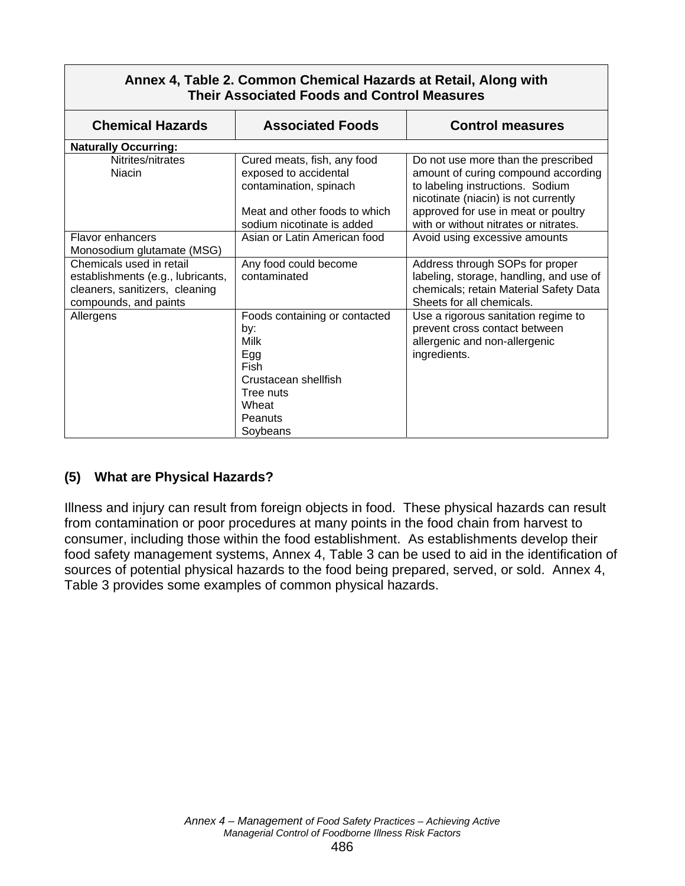#### **Annex 4, Table 2. Common Chemical Hazards at Retail, Along with Their Associated Foods and Control Measures**

| <b>Chemical Hazards</b>                                                                                                  | <b>Associated Foods</b>                                                                                                                       | <b>Control measures</b>                                                                                                                                                                                                                |
|--------------------------------------------------------------------------------------------------------------------------|-----------------------------------------------------------------------------------------------------------------------------------------------|----------------------------------------------------------------------------------------------------------------------------------------------------------------------------------------------------------------------------------------|
| <b>Naturally Occurring:</b>                                                                                              |                                                                                                                                               |                                                                                                                                                                                                                                        |
| Nitrites/nitrates<br><b>Niacin</b>                                                                                       | Cured meats, fish, any food<br>exposed to accidental<br>contamination, spinach<br>Meat and other foods to which<br>sodium nicotinate is added | Do not use more than the prescribed<br>amount of curing compound according<br>to labeling instructions. Sodium<br>nicotinate (niacin) is not currently<br>approved for use in meat or poultry<br>with or without nitrates or nitrates. |
| <b>Flavor enhancers</b><br>Monosodium glutamate (MSG)                                                                    | Asian or Latin American food                                                                                                                  | Avoid using excessive amounts                                                                                                                                                                                                          |
| Chemicals used in retail<br>establishments (e.g., lubricants,<br>cleaners, sanitizers, cleaning<br>compounds, and paints | Any food could become<br>contaminated                                                                                                         | Address through SOPs for proper<br>labeling, storage, handling, and use of<br>chemicals; retain Material Safety Data<br>Sheets for all chemicals.                                                                                      |
| Allergens                                                                                                                | Foods containing or contacted<br>by:<br><b>Milk</b><br>Egg<br>Fish<br>Crustacean shellfish<br>Tree nuts<br>Wheat<br>Peanuts<br>Soybeans       | Use a rigorous sanitation regime to<br>prevent cross contact between<br>allergenic and non-allergenic<br>ingredients.                                                                                                                  |

## **(5) What are Physical Hazards?**

Illness and injury can result from foreign objects in food. These physical hazards can result from contamination or poor procedures at many points in the food chain from harvest to consumer, including those within the food establishment. As establishments develop their food safety management systems, Annex 4, Table 3 can be used to aid in the identification of sources of potential physical hazards to the food being prepared, served, or sold. Annex 4, Table 3 provides some examples of common physical hazards.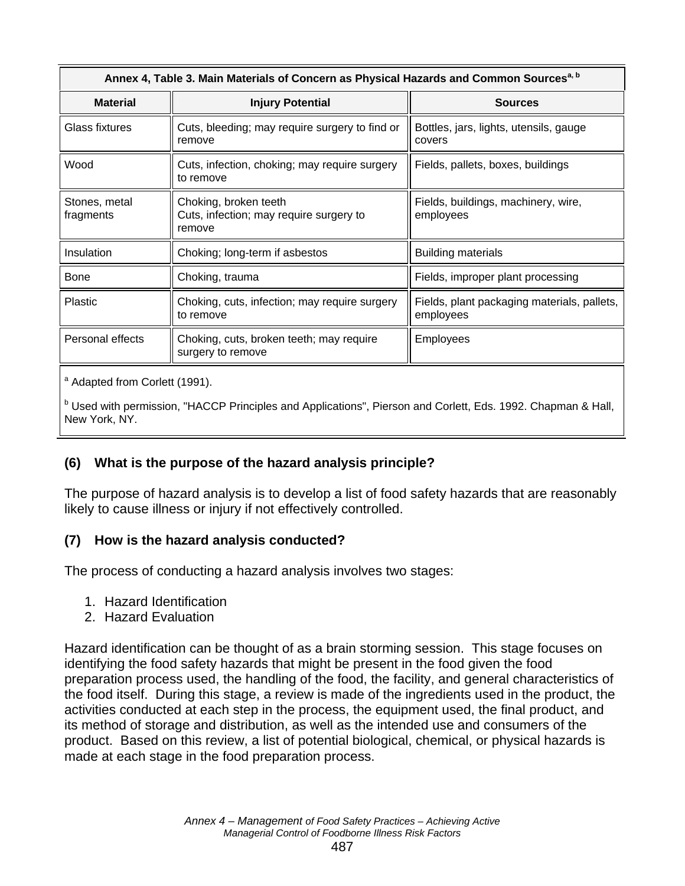| Annex 4, Table 3. Main Materials of Concern as Physical Hazards and Common Sources <sup>a, b</sup> |                                                                            |                                                          |
|----------------------------------------------------------------------------------------------------|----------------------------------------------------------------------------|----------------------------------------------------------|
| <b>Material</b>                                                                                    | <b>Injury Potential</b>                                                    | <b>Sources</b>                                           |
| Glass fixtures                                                                                     | Cuts, bleeding; may require surgery to find or<br>remove                   | Bottles, jars, lights, utensils, gauge<br>covers         |
| Wood                                                                                               | Cuts, infection, choking; may require surgery<br>to remove                 | Fields, pallets, boxes, buildings                        |
| Stones, metal<br>fragments                                                                         | Choking, broken teeth<br>Cuts, infection; may require surgery to<br>remove | Fields, buildings, machinery, wire,<br>employees         |
| Insulation                                                                                         | Choking; long-term if asbestos                                             | <b>Building materials</b>                                |
| Bone                                                                                               | Choking, trauma                                                            | Fields, improper plant processing                        |
| Plastic                                                                                            | Choking, cuts, infection; may require surgery<br>to remove                 | Fields, plant packaging materials, pallets,<br>employees |
| Personal effects                                                                                   | Choking, cuts, broken teeth; may require<br>surgery to remove              | <b>Employees</b>                                         |
|                                                                                                    |                                                                            |                                                          |

<sup>a</sup> Adapted from Corlett (1991).

<sup>b</sup> Used with permission, "HACCP Principles and Applications", Pierson and Corlett, Eds. 1992. Chapman & Hall, New York, NY.

## **(6) What is the purpose of the hazard analysis principle?**

The purpose of hazard analysis is to develop a list of food safety hazards that are reasonably likely to cause illness or injury if not effectively controlled.

#### **(7) How is the hazard analysis conducted?**

The process of conducting a hazard analysis involves two stages:

- 1. Hazard Identification
- 2. Hazard Evaluation

Hazard identification can be thought of as a brain storming session. This stage focuses on identifying the food safety hazards that might be present in the food given the food preparation process used, the handling of the food, the facility, and general characteristics of the food itself. During this stage, a review is made of the ingredients used in the product, the activities conducted at each step in the process, the equipment used, the final product, and its method of storage and distribution, as well as the intended use and consumers of the product. Based on this review, a list of potential biological, chemical, or physical hazards is made at each stage in the food preparation process.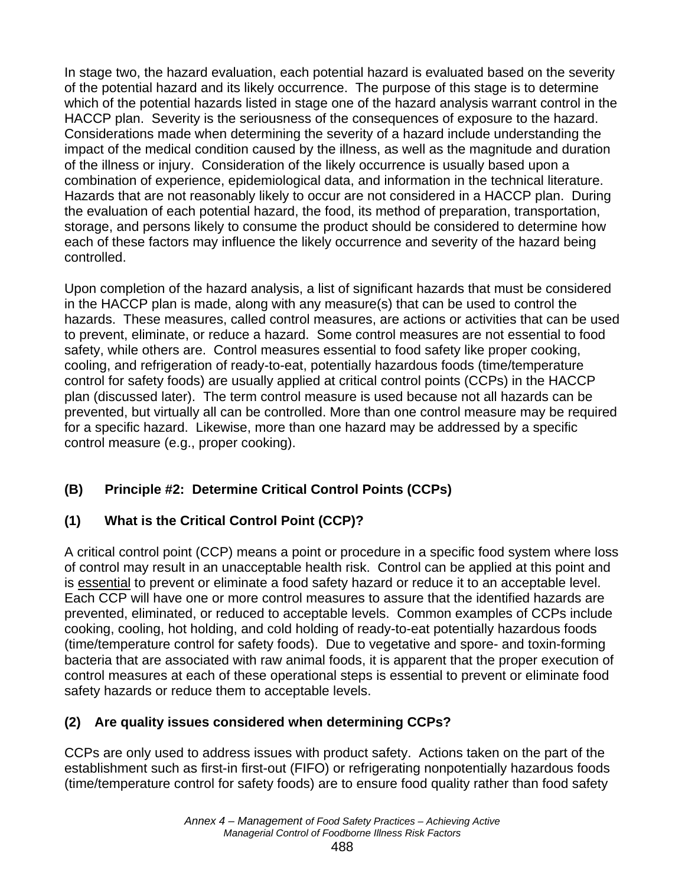In stage two, the hazard evaluation, each potential hazard is evaluated based on the severity of the potential hazard and its likely occurrence. The purpose of this stage is to determine which of the potential hazards listed in stage one of the hazard analysis warrant control in the HACCP plan. Severity is the seriousness of the consequences of exposure to the hazard. Considerations made when determining the severity of a hazard include understanding the impact of the medical condition caused by the illness, as well as the magnitude and duration of the illness or injury. Consideration of the likely occurrence is usually based upon a combination of experience, epidemiological data, and information in the technical literature. Hazards that are not reasonably likely to occur are not considered in a HACCP plan. During the evaluation of each potential hazard, the food, its method of preparation, transportation, storage, and persons likely to consume the product should be considered to determine how each of these factors may influence the likely occurrence and severity of the hazard being controlled.

Upon completion of the hazard analysis, a list of significant hazards that must be considered in the HACCP plan is made, along with any measure(s) that can be used to control the hazards. These measures, called control measures, are actions or activities that can be used to prevent, eliminate, or reduce a hazard. Some control measures are not essential to food safety, while others are. Control measures essential to food safety like proper cooking, cooling, and refrigeration of ready-to-eat, potentially hazardous foods (time/temperature control for safety foods) are usually applied at critical control points (CCPs) in the HACCP plan (discussed later). The term control measure is used because not all hazards can be prevented, but virtually all can be controlled. More than one control measure may be required for a specific hazard. Likewise, more than one hazard may be addressed by a specific control measure (e.g., proper cooking).

# **(B) Principle #2: Determine Critical Control Points (CCPs)**

# **(1) What is the Critical Control Point (CCP)?**

A critical control point (CCP) means a point or procedure in a specific food system where loss of control may result in an unacceptable health risk. Control can be applied at this point and is essential to prevent or eliminate a food safety hazard or reduce it to an acceptable level. Each CCP will have one or more control measures to assure that the identified hazards are prevented, eliminated, or reduced to acceptable levels. Common examples of CCPs include cooking, cooling, hot holding, and cold holding of ready-to-eat potentially hazardous foods (time/temperature control for safety foods). Due to vegetative and spore- and toxin-forming bacteria that are associated with raw animal foods, it is apparent that the proper execution of control measures at each of these operational steps is essential to prevent or eliminate food safety hazards or reduce them to acceptable levels.

## **(2) Are quality issues considered when determining CCPs?**

CCPs are only used to address issues with product safety. Actions taken on the part of the establishment such as first-in first-out (FIFO) or refrigerating nonpotentially hazardous foods (time/temperature control for safety foods) are to ensure food quality rather than food safety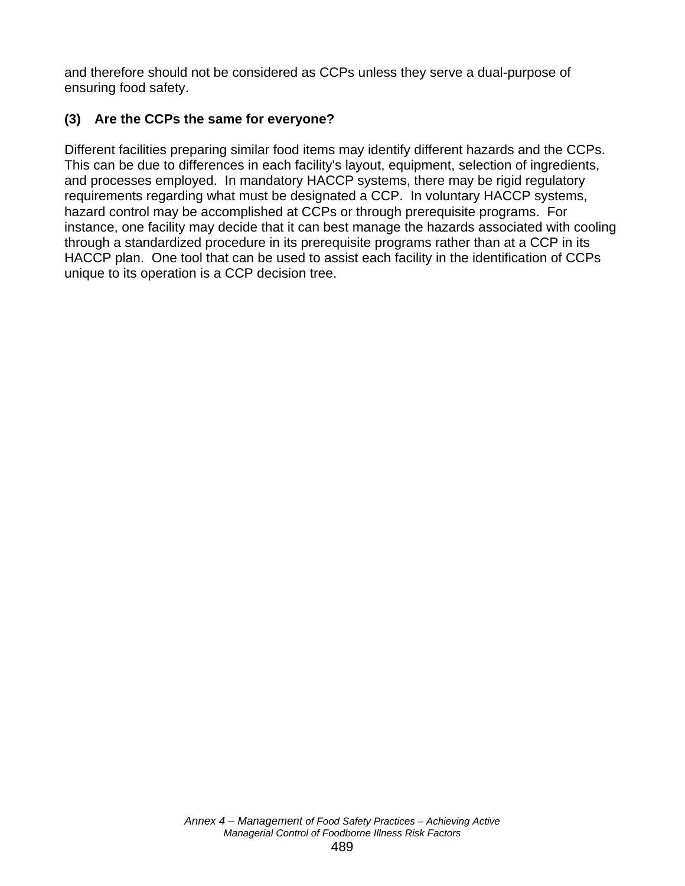and therefore should not be considered as CCPs unless they serve a dual-purpose of ensuring food safety.

## **(3) Are the CCPs the same for everyone?**

Different facilities preparing similar food items may identify different hazards and the CCPs. This can be due to differences in each facility's layout, equipment, selection of ingredients, and processes employed. In mandatory HACCP systems, there may be rigid regulatory requirements regarding what must be designated a CCP. In voluntary HACCP systems, hazard control may be accomplished at CCPs or through prerequisite programs. For instance, one facility may decide that it can best manage the hazards associated with cooling through a standardized procedure in its prerequisite programs rather than at a CCP in its HACCP plan. One tool that can be used to assist each facility in the identification of CCPs unique to its operation is a CCP decision tree.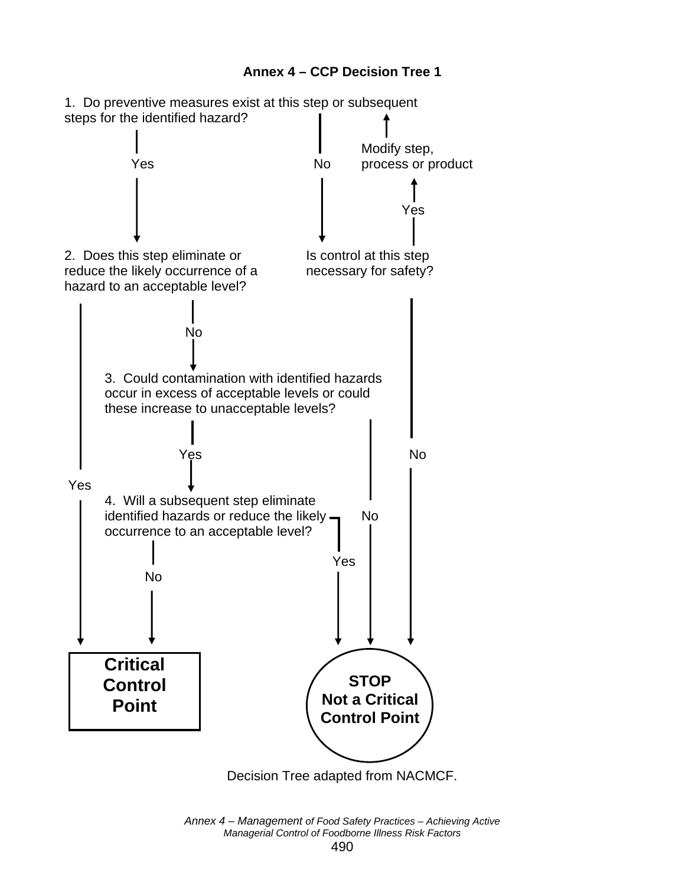#### **Annex 4 – CCP Decision Tree 1**



Decision Tree adapted from NACMCF.

*Annex 4 – Management of Food Safety Practices – Achieving Active Managerial Control of Foodborne Illness Risk Factors*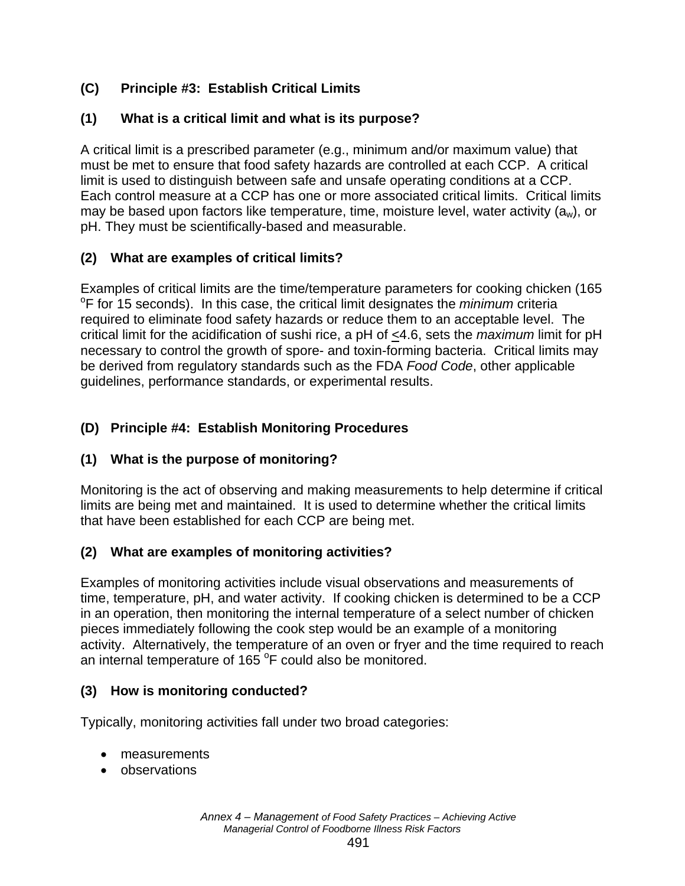## **(C) Principle #3: Establish Critical Limits**

## **(1) What is a critical limit and what is its purpose?**

A critical limit is a prescribed parameter (e.g., minimum and/or maximum value) that must be met to ensure that food safety hazards are controlled at each CCP. A critical limit is used to distinguish between safe and unsafe operating conditions at a CCP. Each control measure at a CCP has one or more associated critical limits. Critical limits may be based upon factors like temperature, time, moisture level, water activity  $(a_w)$ , or pH. They must be scientifically-based and measurable.

## **(2) What are examples of critical limits?**

Examples of critical limits are the time/temperature parameters for cooking chicken (165 F for 15 seconds). In this case, the critical limit designates the *minimum* criteria required to eliminate food safety hazards or reduce them to an acceptable level. The critical limit for the acidification of sushi rice, a pH of <4.6, sets the *maximum* limit for pH necessary to control the growth of spore- and toxin-forming bacteria. Critical limits may be derived from regulatory standards such as the FDA *Food Code*, other applicable guidelines, performance standards, or experimental results.

## **(D) Principle #4: Establish Monitoring Procedures**

#### **(1) What is the purpose of monitoring?**

Monitoring is the act of observing and making measurements to help determine if critical limits are being met and maintained. It is used to determine whether the critical limits that have been established for each CCP are being met.

#### **(2) What are examples of monitoring activities?**

Examples of monitoring activities include visual observations and measurements of time, temperature, pH, and water activity. If cooking chicken is determined to be a CCP in an operation, then monitoring the internal temperature of a select number of chicken pieces immediately following the cook step would be an example of a monitoring activity. Alternatively, the temperature of an oven or fryer and the time required to reach an internal temperature of 165 °F could also be monitored.

#### **(3) How is monitoring conducted?**

Typically, monitoring activities fall under two broad categories:

- measurements
- observations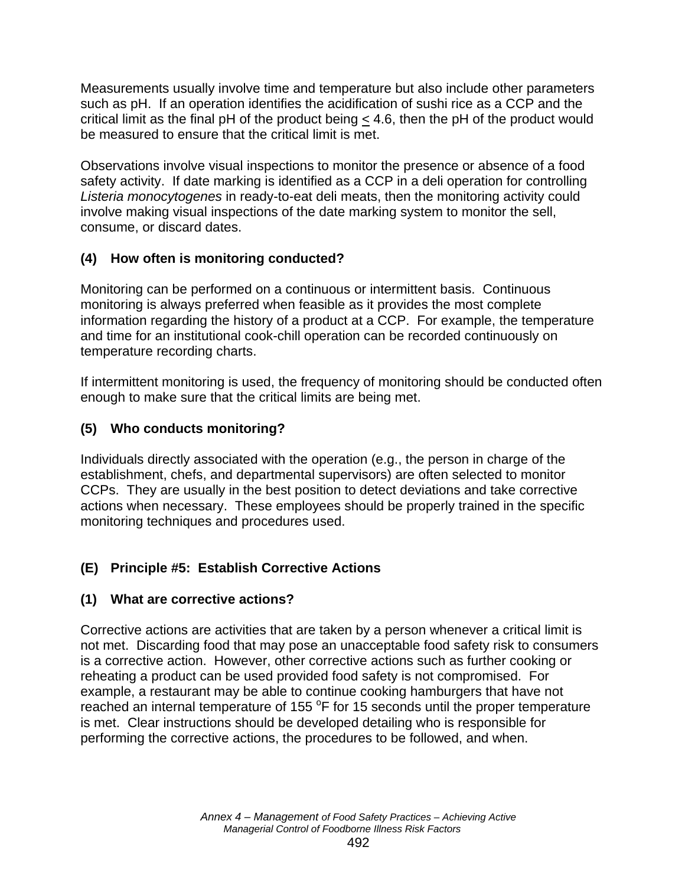Measurements usually involve time and temperature but also include other parameters such as pH. If an operation identifies the acidification of sushi rice as a CCP and the critical limit as the final pH of the product being < 4.6, then the pH of the product would be measured to ensure that the critical limit is met.

Observations involve visual inspections to monitor the presence or absence of a food safety activity. If date marking is identified as a CCP in a deli operation for controlling *Listeria monocytogenes* in ready-to-eat deli meats, then the monitoring activity could involve making visual inspections of the date marking system to monitor the sell, consume, or discard dates.

## **(4) How often is monitoring conducted?**

Monitoring can be performed on a continuous or intermittent basis. Continuous monitoring is always preferred when feasible as it provides the most complete information regarding the history of a product at a CCP. For example, the temperature and time for an institutional cook-chill operation can be recorded continuously on temperature recording charts.

If intermittent monitoring is used, the frequency of monitoring should be conducted often enough to make sure that the critical limits are being met.

## **(5) Who conducts monitoring?**

Individuals directly associated with the operation (e.g., the person in charge of the establishment, chefs, and departmental supervisors) are often selected to monitor CCPs. They are usually in the best position to detect deviations and take corrective actions when necessary. These employees should be properly trained in the specific monitoring techniques and procedures used.

## **(E) Principle #5: Establish Corrective Actions**

#### **(1) What are corrective actions?**

Corrective actions are activities that are taken by a person whenever a critical limit is not met. Discarding food that may pose an unacceptable food safety risk to consumers is a corrective action. However, other corrective actions such as further cooking or reheating a product can be used provided food safety is not compromised. For example, a restaurant may be able to continue cooking hamburgers that have not reached an internal temperature of 155 °F for 15 seconds until the proper temperature is met. Clear instructions should be developed detailing who is responsible for performing the corrective actions, the procedures to be followed, and when.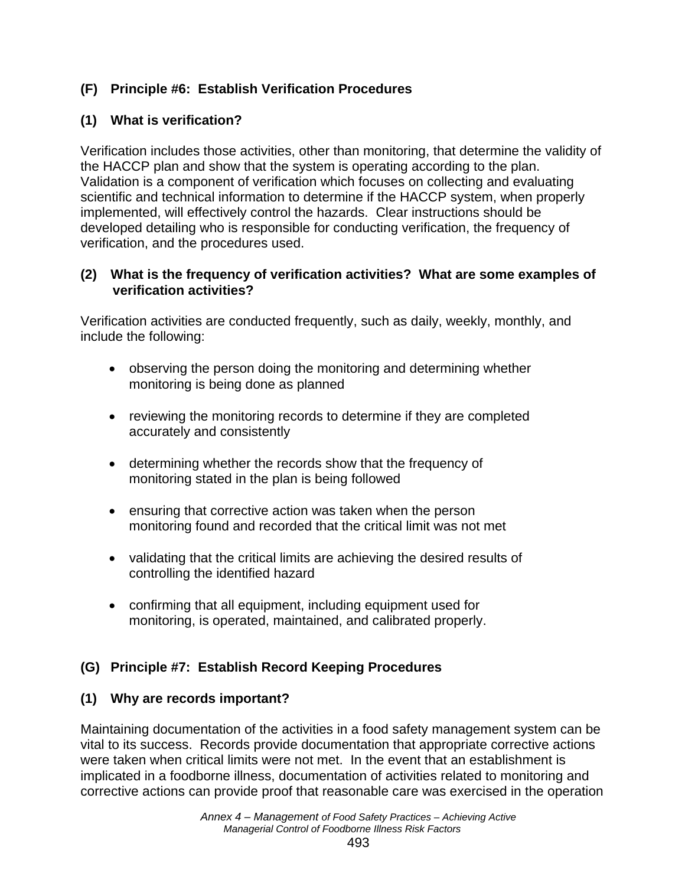## **(F) Principle #6: Establish Verification Procedures**

## **(1) What is verification?**

Verification includes those activities, other than monitoring, that determine the validity of the HACCP plan and show that the system is operating according to the plan. Validation is a component of verification which focuses on collecting and evaluating scientific and technical information to determine if the HACCP system, when properly implemented, will effectively control the hazards.Clear instructions should be developed detailing who is responsible for conducting verification, the frequency of verification, and the procedures used.

#### **(2) What is the frequency of verification activities? What are some examples of verification activities?**

Verification activities are conducted frequently, such as daily, weekly, monthly, and include the following:

- observing the person doing the monitoring and determining whether monitoring is being done as planned
- reviewing the monitoring records to determine if they are completed accurately and consistently
- determining whether the records show that the frequency of monitoring stated in the plan is being followed
- ensuring that corrective action was taken when the person monitoring found and recorded that the critical limit was not met
- validating that the critical limits are achieving the desired results of controlling the identified hazard
- confirming that all equipment, including equipment used for monitoring, is operated, maintained, and calibrated properly.

# **(G) Principle #7: Establish Record Keeping Procedures**

## **(1) Why are records important?**

Maintaining documentation of the activities in a food safety management system can be vital to its success. Records provide documentation that appropriate corrective actions were taken when critical limits were not met. In the event that an establishment is implicated in a foodborne illness, documentation of activities related to monitoring and corrective actions can provide proof that reasonable care was exercised in the operation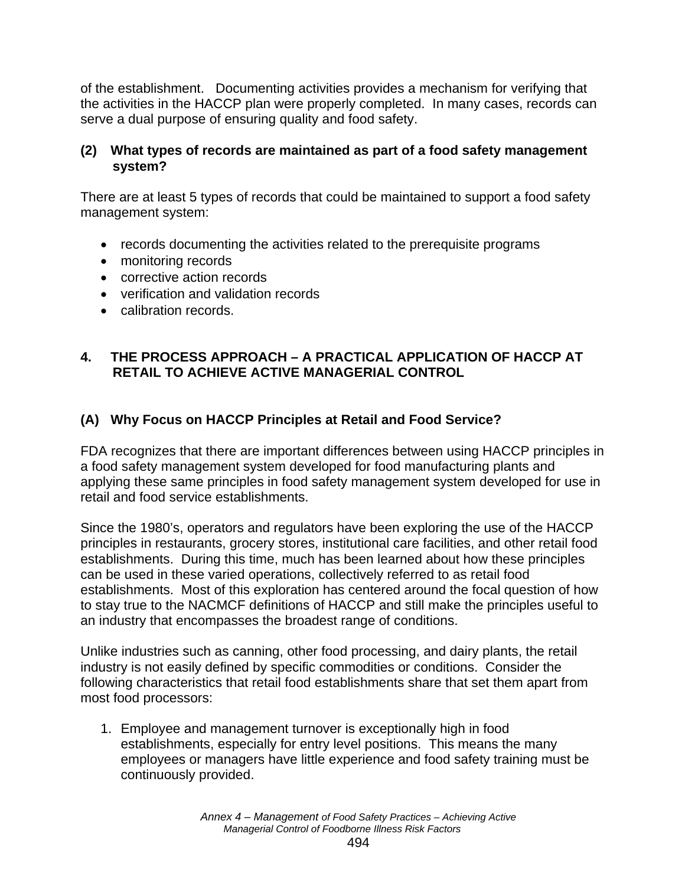of the establishment. Documenting activities provides a mechanism for verifying that the activities in the HACCP plan were properly completed. In many cases, records can serve a dual purpose of ensuring quality and food safety.

#### **(2) What types of records are maintained as part of a food safety management system?**

There are at least 5 types of records that could be maintained to support a food safety management system:

- records documenting the activities related to the prerequisite programs
- monitoring records
- corrective action records
- verification and validation records
- calibration records.

## **4. THE PROCESS APPROACH – A PRACTICAL APPLICATION OF HACCP AT RETAIL TO ACHIEVE ACTIVE MANAGERIAL CONTROL**

## **(A) Why Focus on HACCP Principles at Retail and Food Service?**

FDA recognizes that there are important differences between using HACCP principles in a food safety management system developed for food manufacturing plants and applying these same principles in food safety management system developed for use in retail and food service establishments.

Since the 1980's, operators and regulators have been exploring the use of the HACCP principles in restaurants, grocery stores, institutional care facilities, and other retail food establishments. During this time, much has been learned about how these principles can be used in these varied operations, collectively referred to as retail food establishments. Most of this exploration has centered around the focal question of how to stay true to the NACMCF definitions of HACCP and still make the principles useful to an industry that encompasses the broadest range of conditions.

Unlike industries such as canning, other food processing, and dairy plants, the retail industry is not easily defined by specific commodities or conditions. Consider the following characteristics that retail food establishments share that set them apart from most food processors:

1. Employee and management turnover is exceptionally high in food establishments, especially for entry level positions. This means the many employees or managers have little experience and food safety training must be continuously provided.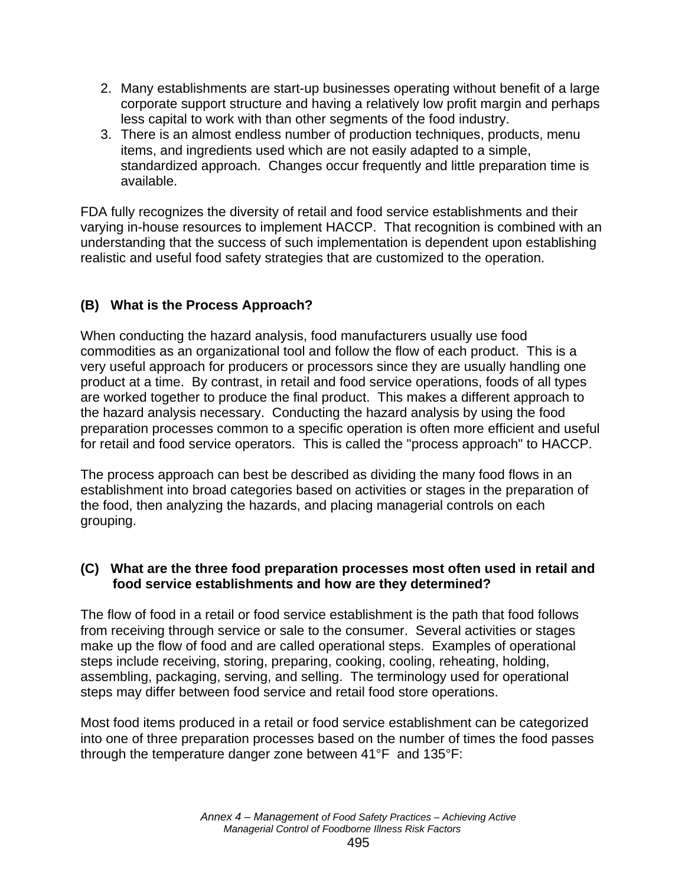- 2. Many establishments are start-up businesses operating without benefit of a large corporate support structure and having a relatively low profit margin and perhaps less capital to work with than other segments of the food industry.
- 3. There is an almost endless number of production techniques, products, menu items, and ingredients used which are not easily adapted to a simple, standardized approach. Changes occur frequently and little preparation time is available.

FDA fully recognizes the diversity of retail and food service establishments and their varying in-house resources to implement HACCP. That recognition is combined with an understanding that the success of such implementation is dependent upon establishing realistic and useful food safety strategies that are customized to the operation.

## **(B) What is the Process Approach?**

When conducting the hazard analysis, food manufacturers usually use food commodities as an organizational tool and follow the flow of each product. This is a very useful approach for producers or processors since they are usually handling one product at a time. By contrast, in retail and food service operations, foods of all types are worked together to produce the final product. This makes a different approach to the hazard analysis necessary. Conducting the hazard analysis by using the food preparation processes common to a specific operation is often more efficient and useful for retail and food service operators. This is called the "process approach" to HACCP.

The process approach can best be described as dividing the many food flows in an establishment into broad categories based on activities or stages in the preparation of the food, then analyzing the hazards, and placing managerial controls on each grouping.

#### **(C) What are the three food preparation processes most often used in retail and food service establishments and how are they determined?**

The flow of food in a retail or food service establishment is the path that food follows from receiving through service or sale to the consumer. Several activities or stages make up the flow of food and are called operational steps. Examples of operational steps include receiving, storing, preparing, cooking, cooling, reheating, holding, assembling, packaging, serving, and selling. The terminology used for operational steps may differ between food service and retail food store operations.

Most food items produced in a retail or food service establishment can be categorized into one of three preparation processes based on the number of times the food passes through the temperature danger zone between 41°F and 135°F: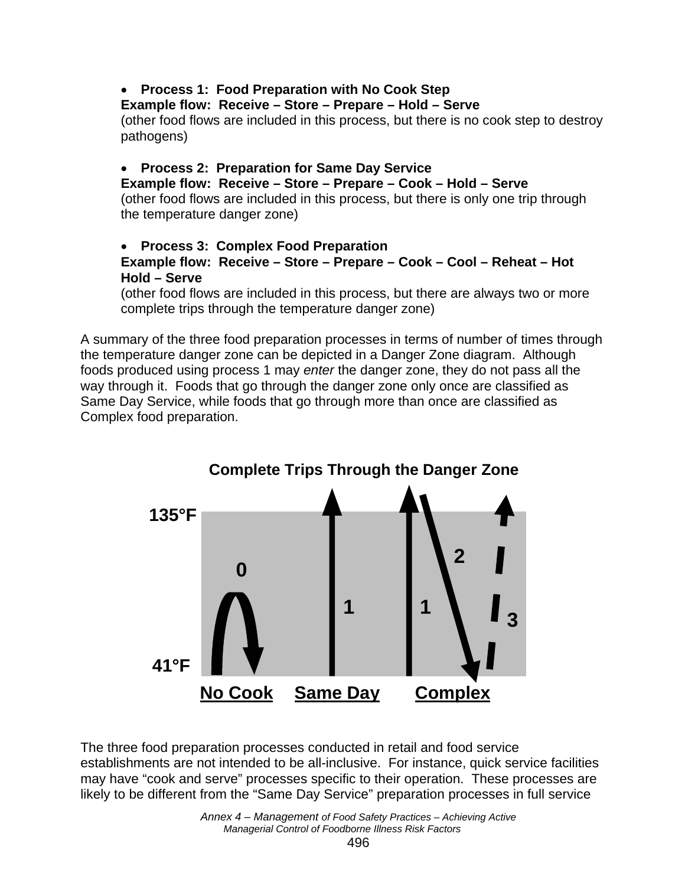• **Process 1: Food Preparation with No Cook Step** 

#### **Example flow: Receive – Store – Prepare – Hold – Serve**

(other food flows are included in this process, but there is no cook step to destroy pathogens)

#### • **Process 2: Preparation for Same Day Service**

 **Example flow: Receive – Store – Prepare – Cook – Hold – Serve**  (other food flows are included in this process, but there is only one trip through the temperature danger zone)

#### • **Process 3: Complex Food Preparation Example flow: Receive – Store – Prepare – Cook – Cool – Reheat – Hot Hold – Serve**

(other food flows are included in this process, but there are always two or more complete trips through the temperature danger zone)

A summary of the three food preparation processes in terms of number of times through the temperature danger zone can be depicted in a Danger Zone diagram. Although foods produced using process 1 may *enter* the danger zone, they do not pass all the way through it. Foods that go through the danger zone only once are classified as Same Day Service, while foods that go through more than once are classified as Complex food preparation.



The three food preparation processes conducted in retail and food service establishments are not intended to be all-inclusive. For instance, quick service facilities may have "cook and serve" processes specific to their operation. These processes are likely to be different from the "Same Day Service" preparation processes in full service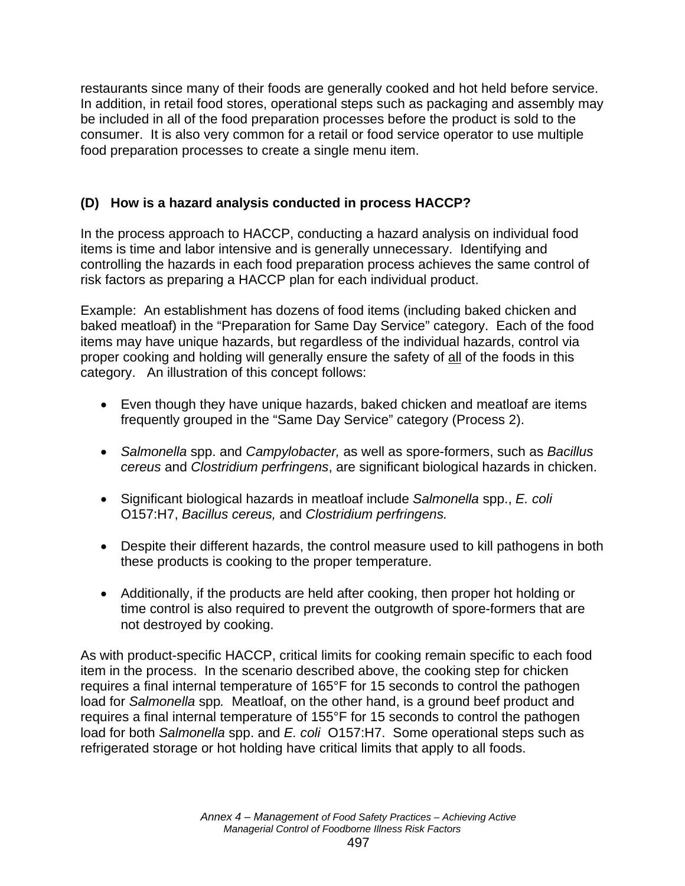restaurants since many of their foods are generally cooked and hot held before service. In addition, in retail food stores, operational steps such as packaging and assembly may be included in all of the food preparation processes before the product is sold to the consumer. It is also very common for a retail or food service operator to use multiple food preparation processes to create a single menu item.

## **(D) How is a hazard analysis conducted in process HACCP?**

In the process approach to HACCP, conducting a hazard analysis on individual food items is time and labor intensive and is generally unnecessary. Identifying and controlling the hazards in each food preparation process achieves the same control of risk factors as preparing a HACCP plan for each individual product.

Example: An establishment has dozens of food items (including baked chicken and baked meatloaf) in the "Preparation for Same Day Service" category. Each of the food items may have unique hazards, but regardless of the individual hazards, control via proper cooking and holding will generally ensure the safety of all of the foods in this category. An illustration of this concept follows:

- Even though they have unique hazards, baked chicken and meatloaf are items frequently grouped in the "Same Day Service" category (Process 2).
- *Salmonella* spp. and *Campylobacter,* as well as spore-formers, such as *Bacillus cereus* and *Clostridium perfringens*, are significant biological hazards in chicken.
- Significant biological hazards in meatloaf include *Salmonella* spp., *E. coli* O157:H7, *Bacillus cereus,* and *Clostridium perfringens.*
- Despite their different hazards, the control measure used to kill pathogens in both these products is cooking to the proper temperature.
- Additionally, if the products are held after cooking, then proper hot holding or time control is also required to prevent the outgrowth of spore-formers that are not destroyed by cooking.

As with product-specific HACCP, critical limits for cooking remain specific to each food item in the process. In the scenario described above, the cooking step for chicken requires a final internal temperature of 165°F for 15 seconds to control the pathogen load for *Salmonella* spp*.* Meatloaf, on the other hand, is a ground beef product and requires a final internal temperature of 155°F for 15 seconds to control the pathogen load for both *Salmonella* spp. and *E. coli* O157:H7. Some operational steps such as refrigerated storage or hot holding have critical limits that apply to all foods.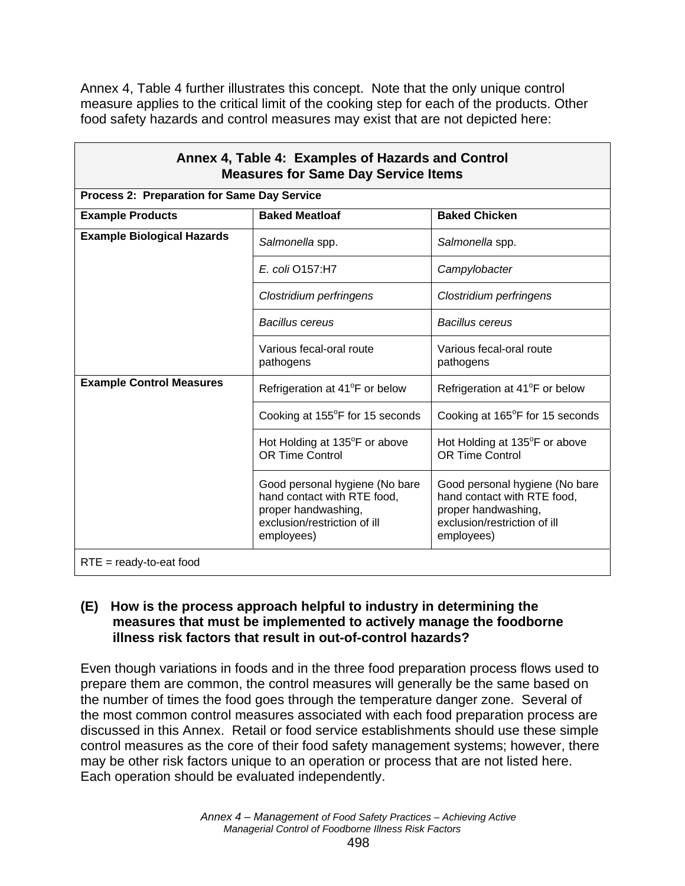Annex 4, Table 4 further illustrates this concept. Note that the only unique control measure applies to the critical limit of the cooking step for each of the products. Other food safety hazards and control measures may exist that are not depicted here:

| Annex 4, Table 4: Examples of Hazards and Control<br><b>Measures for Same Day Service Items</b> |                                                                                                                                    |                                                                                                                                    |  |
|-------------------------------------------------------------------------------------------------|------------------------------------------------------------------------------------------------------------------------------------|------------------------------------------------------------------------------------------------------------------------------------|--|
| Process 2: Preparation for Same Day Service                                                     |                                                                                                                                    |                                                                                                                                    |  |
| <b>Example Products</b>                                                                         | <b>Baked Meatloaf</b>                                                                                                              | <b>Baked Chicken</b>                                                                                                               |  |
| <b>Example Biological Hazards</b>                                                               | Salmonella spp.                                                                                                                    | Salmonella spp.                                                                                                                    |  |
|                                                                                                 | E. coli 0157:H7                                                                                                                    | Campylobacter                                                                                                                      |  |
|                                                                                                 | Clostridium perfringens                                                                                                            | Clostridium perfringens                                                                                                            |  |
|                                                                                                 | <b>Bacillus cereus</b>                                                                                                             | <b>Bacillus cereus</b>                                                                                                             |  |
|                                                                                                 | Various fecal-oral route<br>pathogens                                                                                              | Various fecal-oral route<br>pathogens                                                                                              |  |
| <b>Example Control Measures</b>                                                                 | Refrigeration at 41°F or below                                                                                                     | Refrigeration at 41°F or below                                                                                                     |  |
|                                                                                                 | Cooking at 155°F for 15 seconds                                                                                                    | Cooking at 165°F for 15 seconds                                                                                                    |  |
|                                                                                                 | Hot Holding at 135°F or above<br>OR Time Control                                                                                   | Hot Holding at 135°F or above<br><b>OR Time Control</b>                                                                            |  |
|                                                                                                 | Good personal hygiene (No bare<br>hand contact with RTE food,<br>proper handwashing,<br>exclusion/restriction of ill<br>employees) | Good personal hygiene (No bare<br>hand contact with RTE food,<br>proper handwashing,<br>exclusion/restriction of ill<br>employees) |  |
| $RTE = ready-to-eat food$                                                                       |                                                                                                                                    |                                                                                                                                    |  |

#### **(E) How is the process approach helpful to industry in determining the measures that must be implemented to actively manage the foodborne illness risk factors that result in out-of-control hazards?**

Even though variations in foods and in the three food preparation process flows used to prepare them are common, the control measures will generally be the same based on the number of times the food goes through the temperature danger zone. Several of the most common control measures associated with each food preparation process are discussed in this Annex. Retail or food service establishments should use these simple control measures as the core of their food safety management systems; however, there may be other risk factors unique to an operation or process that are not listed here. Each operation should be evaluated independently.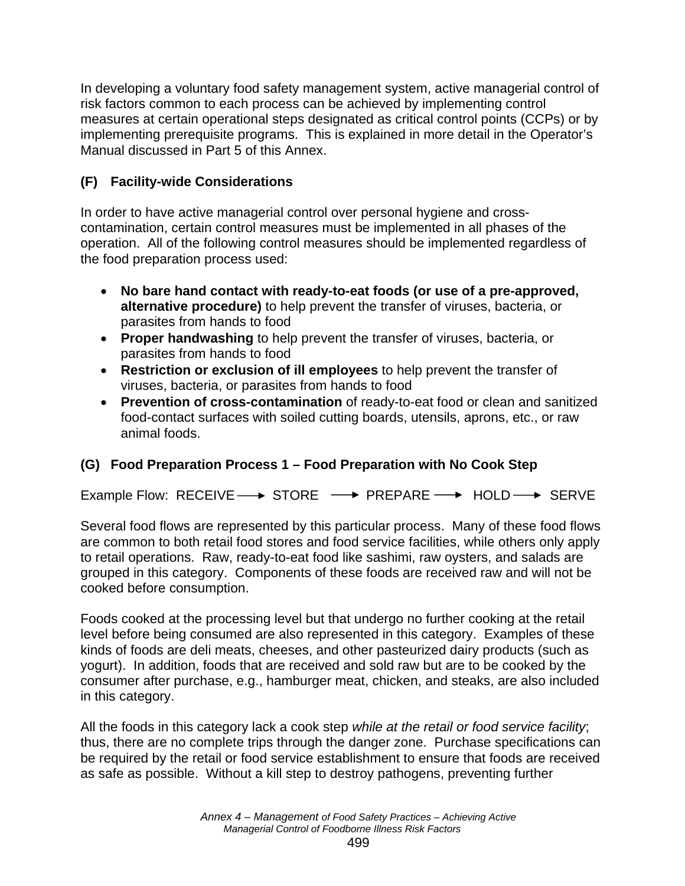In developing a voluntary food safety management system, active managerial control of risk factors common to each process can be achieved by implementing control measures at certain operational steps designated as critical control points (CCPs) or by implementing prerequisite programs. This is explained in more detail in the Operator's Manual discussed in Part 5 of this Annex.

## **(F) Facility-wide Considerations**

In order to have active managerial control over personal hygiene and crosscontamination, certain control measures must be implemented in all phases of the operation. All of the following control measures should be implemented regardless of the food preparation process used:

- **No bare hand contact with ready-to-eat foods (or use of a pre-approved, alternative procedure)** to help prevent the transfer of viruses, bacteria, or parasites from hands to food
- **Proper handwashing** to help prevent the transfer of viruses, bacteria, or parasites from hands to food
- **Restriction or exclusion of ill employees** to help prevent the transfer of viruses, bacteria, or parasites from hands to food
- **Prevention of cross-contamination** of ready-to-eat food or clean and sanitized food-contact surfaces with soiled cutting boards, utensils, aprons, etc., or raw animal foods.

# **(G) Food Preparation Process 1 – Food Preparation with No Cook Step**

Example Flow: RECEIVE  $\longrightarrow$  STORE  $\longrightarrow$  PREPARE  $\longrightarrow$  HOLD  $\longrightarrow$  SERVE

Several food flows are represented by this particular process. Many of these food flows are common to both retail food stores and food service facilities, while others only apply to retail operations. Raw, ready-to-eat food like sashimi, raw oysters, and salads are grouped in this category. Components of these foods are received raw and will not be cooked before consumption.

Foods cooked at the processing level but that undergo no further cooking at the retail level before being consumed are also represented in this category. Examples of these kinds of foods are deli meats, cheeses, and other pasteurized dairy products (such as yogurt). In addition, foods that are received and sold raw but are to be cooked by the consumer after purchase, e.g., hamburger meat, chicken, and steaks, are also included in this category.

All the foods in this category lack a cook step *while at the retail or food service facility*; thus, there are no complete trips through the danger zone. Purchase specifications can be required by the retail or food service establishment to ensure that foods are received as safe as possible. Without a kill step to destroy pathogens, preventing further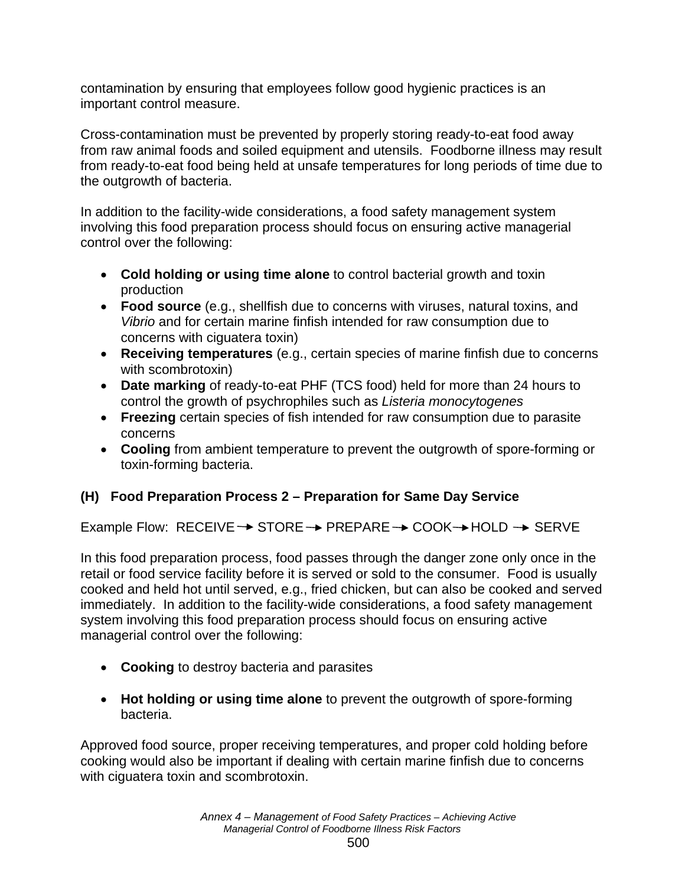contamination by ensuring that employees follow good hygienic practices is an important control measure.

Cross-contamination must be prevented by properly storing ready-to-eat food away from raw animal foods and soiled equipment and utensils. Foodborne illness may result from ready-to-eat food being held at unsafe temperatures for long periods of time due to the outgrowth of bacteria.

In addition to the facility-wide considerations, a food safety management system involving this food preparation process should focus on ensuring active managerial control over the following:

- **Cold holding or using time alone** to control bacterial growth and toxin production
- **Food source** (e.g., shellfish due to concerns with viruses, natural toxins, and *Vibrio* and for certain marine finfish intended for raw consumption due to concerns with ciguatera toxin)
- **Receiving temperatures** (e.g., certain species of marine finfish due to concerns with scombrotoxin)
- **Date marking** of ready-to-eat PHF (TCS food) held for more than 24 hours to control the growth of psychrophiles such as *Listeria monocytogenes*
- **Freezing** certain species of fish intended for raw consumption due to parasite concerns
- **Cooling** from ambient temperature to prevent the outgrowth of spore-forming or toxin-forming bacteria.

## **(H) Food Preparation Process 2 – Preparation for Same Day Service**

Example Flow: RECEIVE  $\rightarrow$  STORE  $\rightarrow$  PREPARE  $\rightarrow$  COOK  $\rightarrow$  HOLD  $\rightarrow$  SERVE

In this food preparation process, food passes through the danger zone only once in the retail or food service facility before it is served or sold to the consumer. Food is usually cooked and held hot until served, e.g., fried chicken, but can also be cooked and served immediately. In addition to the facility-wide considerations, a food safety management system involving this food preparation process should focus on ensuring active managerial control over the following:

- **Cooking** to destroy bacteria and parasites
- **Hot holding or using time alone** to prevent the outgrowth of spore-forming bacteria.

Approved food source, proper receiving temperatures, and proper cold holding before cooking would also be important if dealing with certain marine finfish due to concerns with ciguatera toxin and scombrotoxin.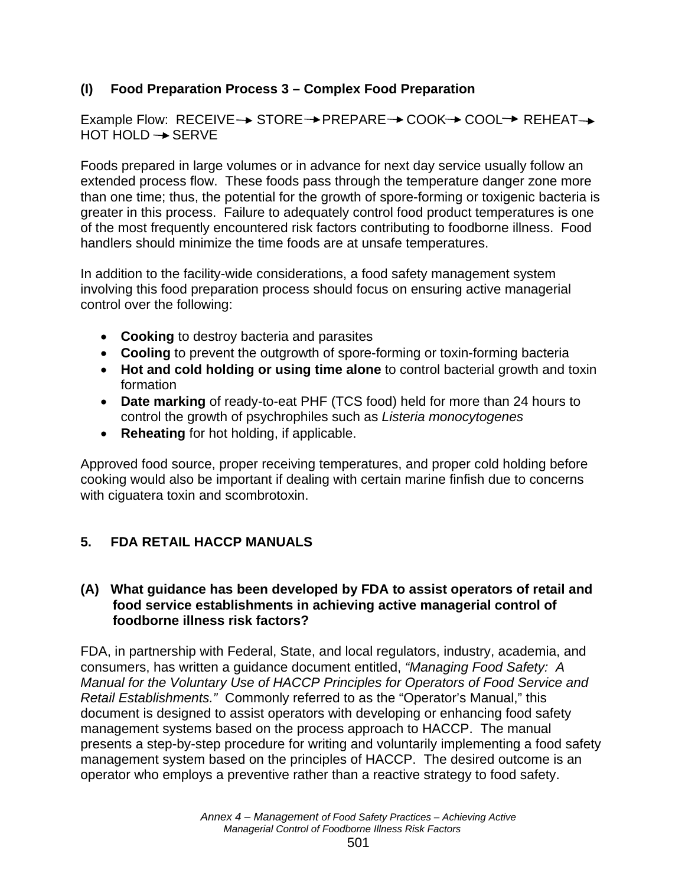## **(I) Food Preparation Process 3 – Complex Food Preparation**

Example Flow: RECEIVE  $\rightarrow$  STORE  $\rightarrow$  PREPARE  $\rightarrow$  COOK  $\rightarrow$  COOL  $\rightarrow$  REHEAT  $\rightarrow$  $HOT$  HOLD  $\rightarrow$  SERVE

Foods prepared in large volumes or in advance for next day service usually follow an extended process flow. These foods pass through the temperature danger zone more than one time; thus, the potential for the growth of spore-forming or toxigenic bacteria is greater in this process.Failure to adequately control food product temperatures is one of the most frequently encountered risk factors contributing to foodborne illness. Food handlers should minimize the time foods are at unsafe temperatures.

In addition to the facility-wide considerations, a food safety management system involving this food preparation process should focus on ensuring active managerial control over the following:

- **Cooking** to destroy bacteria and parasites
- **Cooling** to prevent the outgrowth of spore-forming or toxin-forming bacteria
- **Hot and cold holding or using time alone** to control bacterial growth and toxin formation
- **Date marking** of ready-to-eat PHF (TCS food) held for more than 24 hours to control the growth of psychrophiles such as *Listeria monocytogenes*
- **Reheating** for hot holding, if applicable.

Approved food source, proper receiving temperatures, and proper cold holding before cooking would also be important if dealing with certain marine finfish due to concerns with ciguatera toxin and scombrotoxin.

# **5. FDA RETAIL HACCP MANUALS**

#### **(A) What guidance has been developed by FDA to assist operators of retail and food service establishments in achieving active managerial control of foodborne illness risk factors?**

FDA, in partnership with Federal, State, and local regulators, industry, academia, and consumers, has written a guidance document entitled, *"Managing Food Safety: A Manual for the Voluntary Use of HACCP Principles for Operators of Food Service and Retail Establishments."* Commonly referred to as the "Operator's Manual," this document is designed to assist operators with developing or enhancing food safety management systems based on the process approach to HACCP. The manual presents a step-by-step procedure for writing and voluntarily implementing a food safety management system based on the principles of HACCP. The desired outcome is an operator who employs a preventive rather than a reactive strategy to food safety.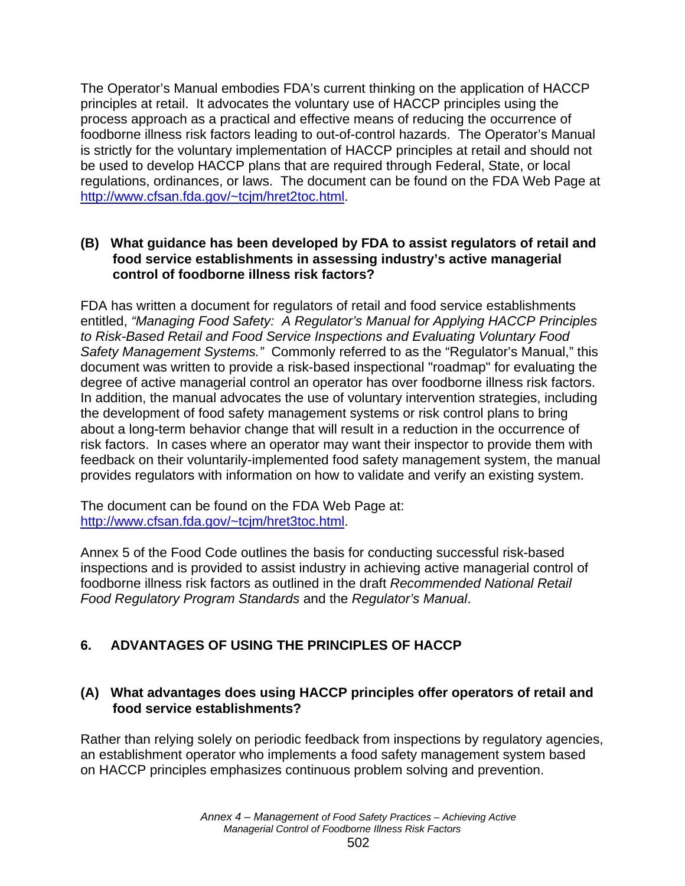The Operator's Manual embodies FDA's current thinking on the application of HACCP principles at retail. It advocates the voluntary use of HACCP principles using the process approach as a practical and effective means of reducing the occurrence of foodborne illness risk factors leading to out-of-control hazards. The Operator's Manual is strictly for the voluntary implementation of HACCP principles at retail and should not be used to develop HACCP plans that are required through Federal, State, or local regulations, ordinances, or laws. The document can be found on the FDA Web Page at http://www.cfsan.fda.gov/~tcjm/hret2toc.html.

#### **(B) What guidance has been developed by FDA to assist regulators of retail and food service establishments in assessing industry's active managerial control of foodborne illness risk factors?**

FDA has written a document for regulators of retail and food service establishments entitled, *"Managing Food Safety: A Regulator's Manual for Applying HACCP Principles to Risk-Based Retail and Food Service Inspections and Evaluating Voluntary Food Safety Management Systems."* Commonly referred to as the "Regulator's Manual," this document was written to provide a risk-based inspectional "roadmap" for evaluating the degree of active managerial control an operator has over foodborne illness risk factors. In addition, the manual advocates the use of voluntary intervention strategies, including the development of food safety management systems or risk control plans to bring about a long-term behavior change that will result in a reduction in the occurrence of risk factors. In cases where an operator may want their inspector to provide them with feedback on their voluntarily-implemented food safety management system, the manual provides regulators with information on how to validate and verify an existing system.

The document can be found on the FDA Web Page at: http://www.cfsan.fda.gov/~tcjm/hret3toc.html.

Annex 5 of the Food Code outlines the basis for conducting successful risk-based inspections and is provided to assist industry in achieving active managerial control of foodborne illness risk factors as outlined in the draft *Recommended National Retail Food Regulatory Program Standards* and the *Regulator's Manual*.

# **6. ADVANTAGES OF USING THE PRINCIPLES OF HACCP**

#### **(A) What advantages does using HACCP principles offer operators of retail and food service establishments?**

Rather than relying solely on periodic feedback from inspections by regulatory agencies, an establishment operator who implements a food safety management system based on HACCP principles emphasizes continuous problem solving and prevention.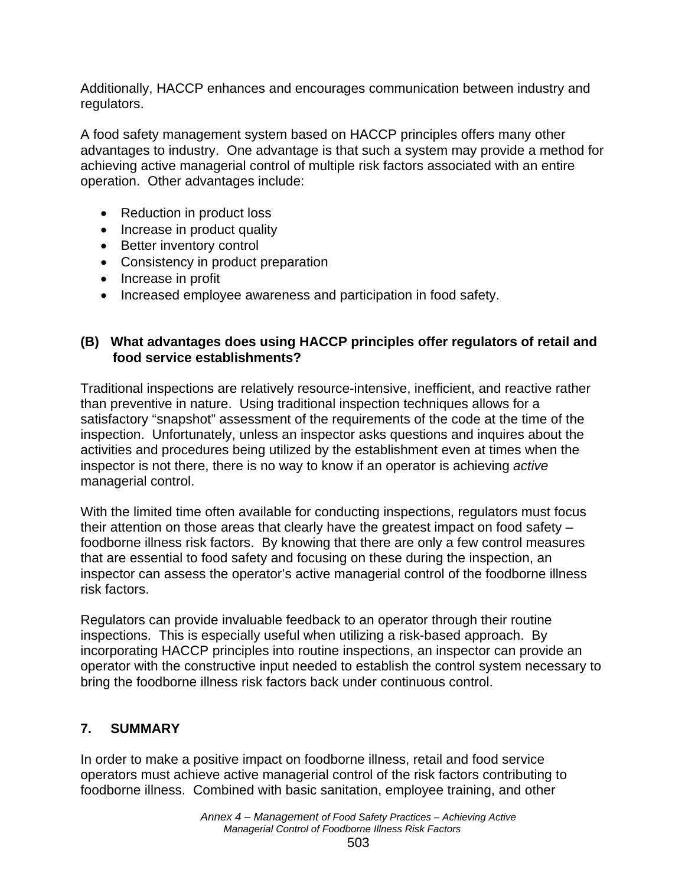Additionally, HACCP enhances and encourages communication between industry and regulators.

A food safety management system based on HACCP principles offers many other advantages to industry. One advantage is that such a system may provide a method for achieving active managerial control of multiple risk factors associated with an entire operation. Other advantages include:

- Reduction in product loss
- Increase in product quality
- Better inventory control
- Consistency in product preparation
- Increase in profit
- Increased employee awareness and participation in food safety.

#### **(B) What advantages does using HACCP principles offer regulators of retail and food service establishments?**

Traditional inspections are relatively resource-intensive, inefficient, and reactive rather than preventive in nature. Using traditional inspection techniques allows for a satisfactory "snapshot" assessment of the requirements of the code at the time of the inspection. Unfortunately, unless an inspector asks questions and inquires about the activities and procedures being utilized by the establishment even at times when the inspector is not there, there is no way to know if an operator is achieving *active* managerial control.

With the limited time often available for conducting inspections, regulators must focus their attention on those areas that clearly have the greatest impact on food safety – foodborne illness risk factors. By knowing that there are only a few control measures that are essential to food safety and focusing on these during the inspection, an inspector can assess the operator's active managerial control of the foodborne illness risk factors.

Regulators can provide invaluable feedback to an operator through their routine inspections. This is especially useful when utilizing a risk-based approach. By incorporating HACCP principles into routine inspections, an inspector can provide an operator with the constructive input needed to establish the control system necessary to bring the foodborne illness risk factors back under continuous control.

## **7. SUMMARY**

In order to make a positive impact on foodborne illness, retail and food service operators must achieve active managerial control of the risk factors contributing to foodborne illness. Combined with basic sanitation, employee training, and other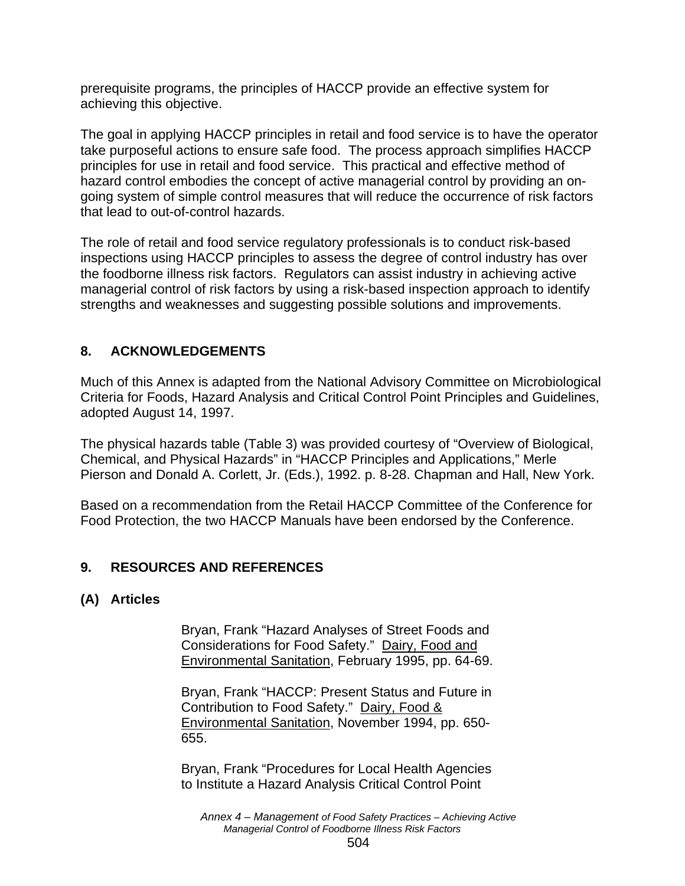prerequisite programs, the principles of HACCP provide an effective system for achieving this objective.

The goal in applying HACCP principles in retail and food service is to have the operator take purposeful actions to ensure safe food. The process approach simplifies HACCP principles for use in retail and food service. This practical and effective method of hazard control embodies the concept of active managerial control by providing an ongoing system of simple control measures that will reduce the occurrence of risk factors that lead to out-of-control hazards.

The role of retail and food service regulatory professionals is to conduct risk-based inspections using HACCP principles to assess the degree of control industry has over the foodborne illness risk factors. Regulators can assist industry in achieving active managerial control of risk factors by using a risk-based inspection approach to identify strengths and weaknesses and suggesting possible solutions and improvements.

## **8. ACKNOWLEDGEMENTS**

Much of this Annex is adapted from the National Advisory Committee on Microbiological Criteria for Foods, Hazard Analysis and Critical Control Point Principles and Guidelines, adopted August 14, 1997.

The physical hazards table (Table 3) was provided courtesy of "Overview of Biological, Chemical, and Physical Hazards" in "HACCP Principles and Applications," Merle Pierson and Donald A. Corlett, Jr. (Eds.), 1992. p. 8-28. Chapman and Hall, New York.

Based on a recommendation from the Retail HACCP Committee of the Conference for Food Protection, the two HACCP Manuals have been endorsed by the Conference.

#### **9. RESOURCES AND REFERENCES**

#### **(A) Articles**

Bryan, Frank "Hazard Analyses of Street Foods and Considerations for Food Safety." Dairy, Food and Environmental Sanitation, February 1995, pp. 64-69.

Bryan, Frank "HACCP: Present Status and Future in Contribution to Food Safety." Dairy, Food & Environmental Sanitation, November 1994, pp. 650- 655.

Bryan, Frank "Procedures for Local Health Agencies to Institute a Hazard Analysis Critical Control Point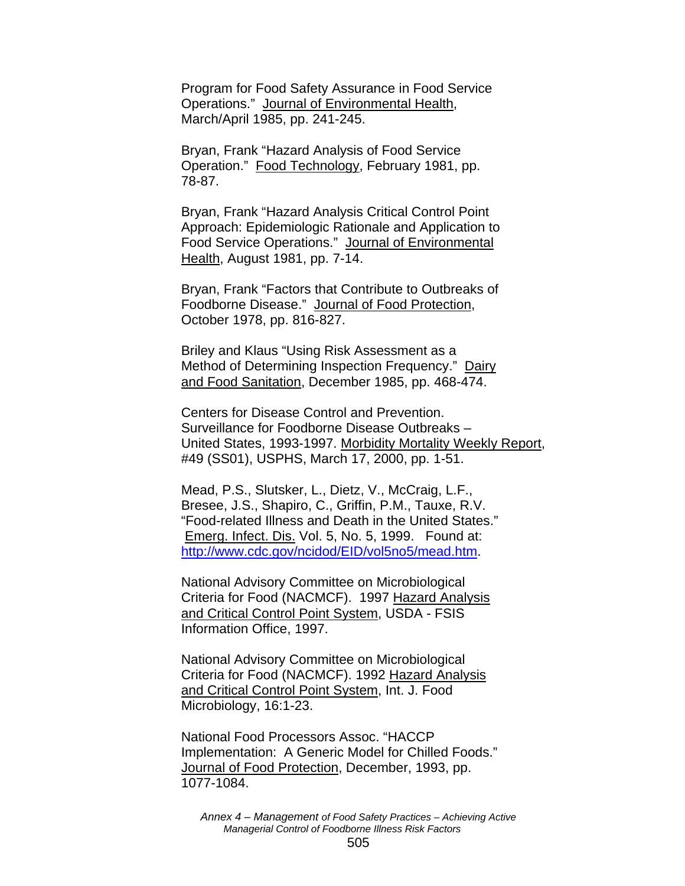Program for Food Safety Assurance in Food Service Operations." Journal of Environmental Health, March/April 1985, pp. 241-245.

Bryan, Frank "Hazard Analysis of Food Service Operation." Food Technology, February 1981, pp. 78-87.

Bryan, Frank "Hazard Analysis Critical Control Point Approach: Epidemiologic Rationale and Application to Food Service Operations." Journal of Environmental Health, August 1981, pp. 7-14.

Bryan, Frank "Factors that Contribute to Outbreaks of Foodborne Disease." Journal of Food Protection, October 1978, pp. 816-827.

Briley and Klaus "Using Risk Assessment as a Method of Determining Inspection Frequency." Dairy and Food Sanitation, December 1985, pp. 468-474.

Centers for Disease Control and Prevention. Surveillance for Foodborne Disease Outbreaks – United States, 1993-1997. Morbidity Mortality Weekly Report, #49 (SS01), USPHS, March 17, 2000, pp. 1-51.

Mead, P.S., Slutsker, L., Dietz, V., McCraig, L.F., Bresee, J.S., Shapiro, C., Griffin, P.M., Tauxe, R.V. "Food-related Illness and Death in the United States." Emerg. Infect. Dis. Vol. 5, No. 5, 1999. Found at: http://www.cdc.gov/ncidod/EID/vol5no5/mead.htm.

National Advisory Committee on Microbiological Criteria for Food (NACMCF). 1997 Hazard Analysis and Critical Control Point System, USDA - FSIS Information Office, 1997.

National Advisory Committee on Microbiological Criteria for Food (NACMCF). 1992 Hazard Analysis and Critical Control Point System, Int. J. Food Microbiology, 16:1-23.

National Food Processors Assoc. "HACCP Implementation: A Generic Model for Chilled Foods." Journal of Food Protection, December, 1993, pp. 1077-1084.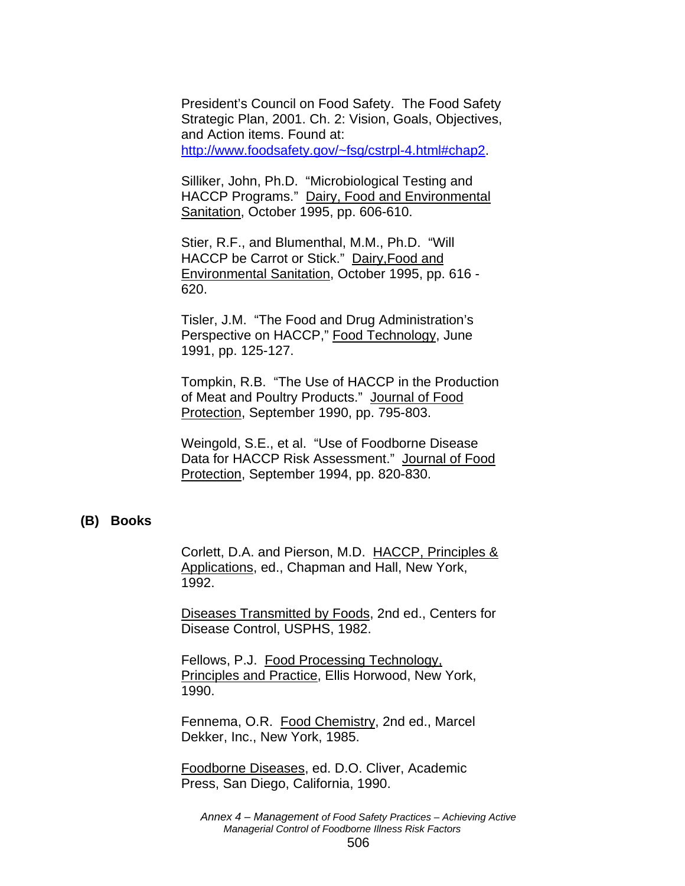President's Council on Food Safety. The Food Safety Strategic Plan, 2001. Ch. 2: Vision, Goals, Objectives, and Action items. Found at: http://www.foodsafety.gov/~fsg/cstrpl-4.html#chap2.

Silliker, John, Ph.D. "Microbiological Testing and HACCP Programs." Dairy, Food and Environmental Sanitation, October 1995, pp. 606-610.

Stier, R.F., and Blumenthal, M.M., Ph.D. "Will HACCP be Carrot or Stick." Dairy,Food and Environmental Sanitation, October 1995, pp. 616 - 620.

Tisler, J.M. "The Food and Drug Administration's Perspective on HACCP," Food Technology, June 1991, pp. 125-127.

Tompkin, R.B. "The Use of HACCP in the Production of Meat and Poultry Products." Journal of Food Protection, September 1990, pp. 795-803.

Weingold, S.E., et al. "Use of Foodborne Disease Data for HACCP Risk Assessment." Journal of Food Protection, September 1994, pp. 820-830.

#### **(B) Books**

Corlett, D.A. and Pierson, M.D. HACCP, Principles & Applications, ed., Chapman and Hall, New York, 1992.

Diseases Transmitted by Foods, 2nd ed., Centers for Disease Control, USPHS, 1982.

Fellows, P.J. Food Processing Technology, Principles and Practice, Ellis Horwood, New York, 1990.

Fennema, O.R. Food Chemistry, 2nd ed., Marcel Dekker, Inc., New York, 1985.

Foodborne Diseases, ed. D.O. Cliver, Academic Press, San Diego, California, 1990.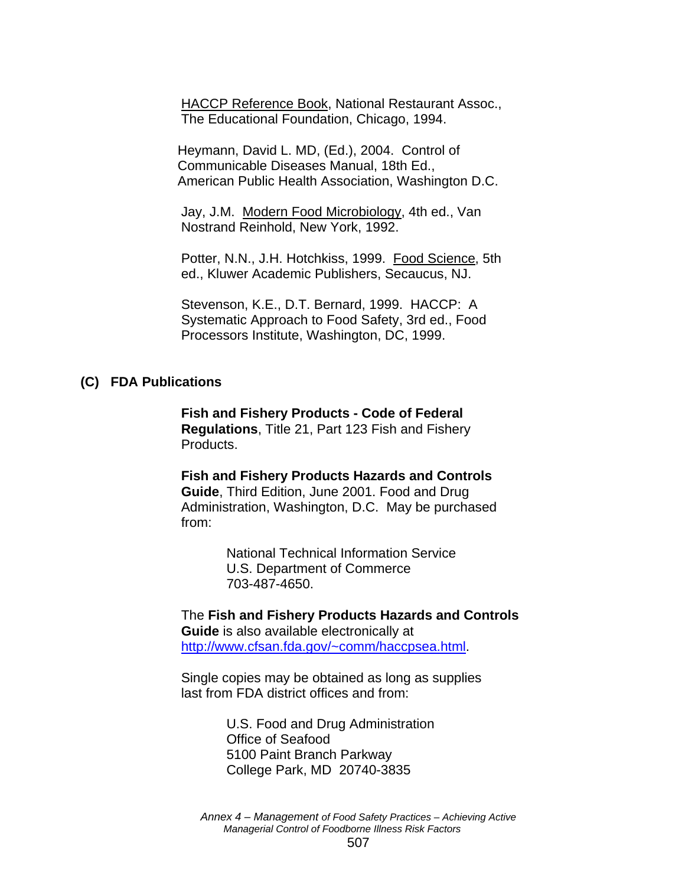HACCP Reference Book, National Restaurant Assoc., The Educational Foundation, Chicago, 1994.

Heymann, David L. MD, (Ed.), 2004. Control of Communicable Diseases Manual, 18th Ed., American Public Health Association, Washington D.C.

Jay, J.M. Modern Food Microbiology, 4th ed., Van Nostrand Reinhold, New York, 1992.

Potter, N.N., J.H. Hotchkiss, 1999. Food Science, 5th ed., Kluwer Academic Publishers, Secaucus, NJ.

Stevenson, K.E., D.T. Bernard, 1999. HACCP: A Systematic Approach to Food Safety, 3rd ed., Food Processors Institute, Washington, DC, 1999.

#### **(C) FDA Publications**

**Fish and Fishery Products - Code of Federal Regulations**, Title 21, Part 123 Fish and Fishery Products.

**Fish and Fishery Products Hazards and Controls Guide**, Third Edition, June 2001. Food and Drug Administration, Washington, D.C. May be purchased from:

> National Technical Information Service U.S. Department of Commerce 703-487-4650.

The **Fish and Fishery Products Hazards and Controls Guide** is also available electronically at http://www.cfsan.fda.gov/~comm/haccpsea.html.

Single copies may be obtained as long as supplies last from FDA district offices and from:

> U.S. Food and Drug Administration Office of Seafood 5100 Paint Branch Parkway College Park, MD 20740-3835